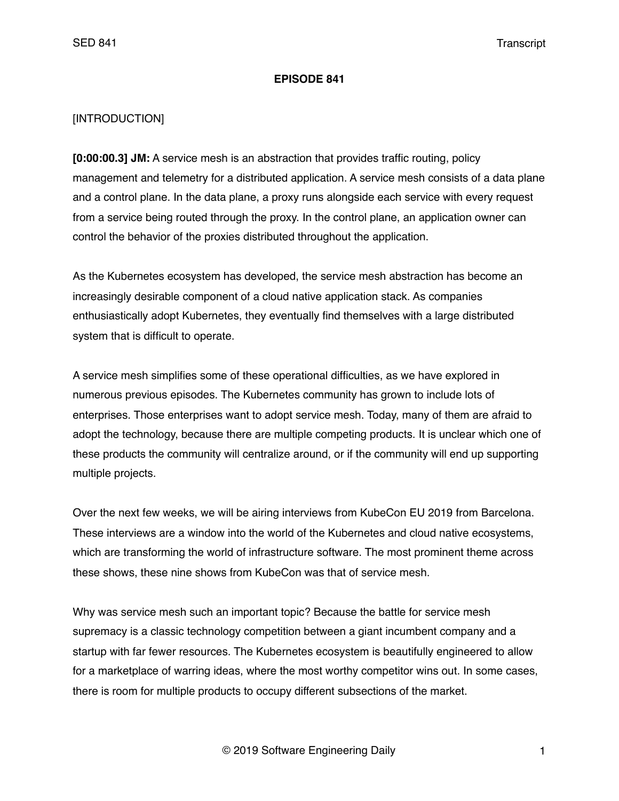### **EPISODE 841**

### [INTRODUCTION]

**[0:00:00.3] JM:** A service mesh is an abstraction that provides traffic routing, policy management and telemetry for a distributed application. A service mesh consists of a data plane and a control plane. In the data plane, a proxy runs alongside each service with every request from a service being routed through the proxy. In the control plane, an application owner can control the behavior of the proxies distributed throughout the application.

As the Kubernetes ecosystem has developed, the service mesh abstraction has become an increasingly desirable component of a cloud native application stack. As companies enthusiastically adopt Kubernetes, they eventually find themselves with a large distributed system that is difficult to operate.

A service mesh simplifies some of these operational difficulties, as we have explored in numerous previous episodes. The Kubernetes community has grown to include lots of enterprises. Those enterprises want to adopt service mesh. Today, many of them are afraid to adopt the technology, because there are multiple competing products. It is unclear which one of these products the community will centralize around, or if the community will end up supporting multiple projects.

Over the next few weeks, we will be airing interviews from KubeCon EU 2019 from Barcelona. These interviews are a window into the world of the Kubernetes and cloud native ecosystems, which are transforming the world of infrastructure software. The most prominent theme across these shows, these nine shows from KubeCon was that of service mesh.

Why was service mesh such an important topic? Because the battle for service mesh supremacy is a classic technology competition between a giant incumbent company and a startup with far fewer resources. The Kubernetes ecosystem is beautifully engineered to allow for a marketplace of warring ideas, where the most worthy competitor wins out. In some cases, there is room for multiple products to occupy different subsections of the market.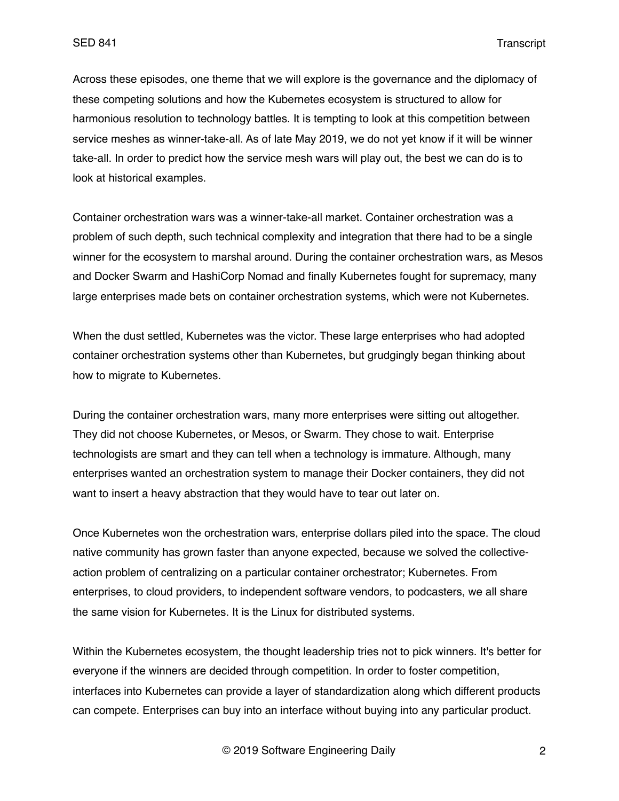Across these episodes, one theme that we will explore is the governance and the diplomacy of these competing solutions and how the Kubernetes ecosystem is structured to allow for harmonious resolution to technology battles. It is tempting to look at this competition between service meshes as winner-take-all. As of late May 2019, we do not yet know if it will be winner take-all. In order to predict how the service mesh wars will play out, the best we can do is to look at historical examples.

Container orchestration wars was a winner-take-all market. Container orchestration was a problem of such depth, such technical complexity and integration that there had to be a single winner for the ecosystem to marshal around. During the container orchestration wars, as Mesos and Docker Swarm and HashiCorp Nomad and finally Kubernetes fought for supremacy, many large enterprises made bets on container orchestration systems, which were not Kubernetes.

When the dust settled, Kubernetes was the victor. These large enterprises who had adopted container orchestration systems other than Kubernetes, but grudgingly began thinking about how to migrate to Kubernetes.

During the container orchestration wars, many more enterprises were sitting out altogether. They did not choose Kubernetes, or Mesos, or Swarm. They chose to wait. Enterprise technologists are smart and they can tell when a technology is immature. Although, many enterprises wanted an orchestration system to manage their Docker containers, they did not want to insert a heavy abstraction that they would have to tear out later on.

Once Kubernetes won the orchestration wars, enterprise dollars piled into the space. The cloud native community has grown faster than anyone expected, because we solved the collectiveaction problem of centralizing on a particular container orchestrator; Kubernetes. From enterprises, to cloud providers, to independent software vendors, to podcasters, we all share the same vision for Kubernetes. It is the Linux for distributed systems.

Within the Kubernetes ecosystem, the thought leadership tries not to pick winners. It's better for everyone if the winners are decided through competition. In order to foster competition, interfaces into Kubernetes can provide a layer of standardization along which different products can compete. Enterprises can buy into an interface without buying into any particular product.

© 2019 Software Engineering Daily 2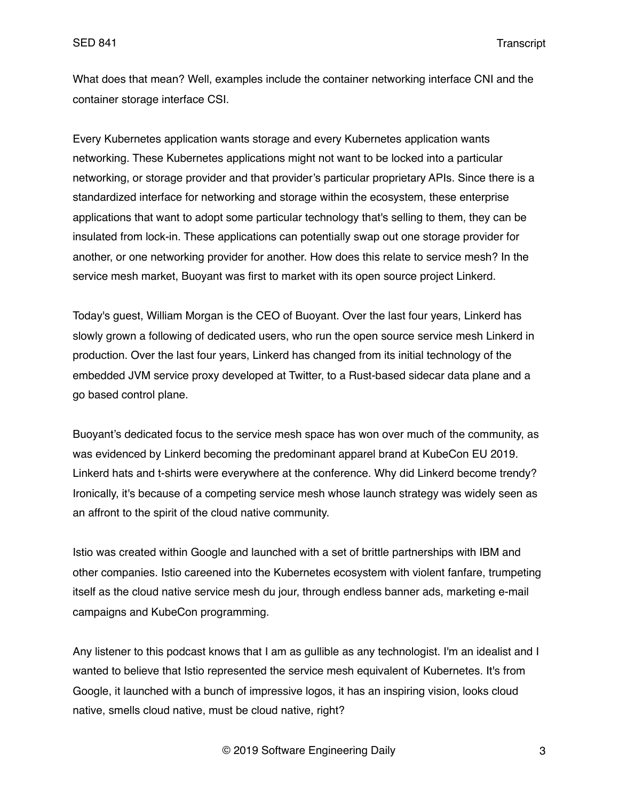What does that mean? Well, examples include the container networking interface CNI and the container storage interface CSI.

Every Kubernetes application wants storage and every Kubernetes application wants networking. These Kubernetes applications might not want to be locked into a particular networking, or storage provider and that provider's particular proprietary APIs. Since there is a standardized interface for networking and storage within the ecosystem, these enterprise applications that want to adopt some particular technology that's selling to them, they can be insulated from lock-in. These applications can potentially swap out one storage provider for another, or one networking provider for another. How does this relate to service mesh? In the service mesh market, Buoyant was first to market with its open source project Linkerd.

Today's guest, William Morgan is the CEO of Buoyant. Over the last four years, Linkerd has slowly grown a following of dedicated users, who run the open source service mesh Linkerd in production. Over the last four years, Linkerd has changed from its initial technology of the embedded JVM service proxy developed at Twitter, to a Rust-based sidecar data plane and a go based control plane.

Buoyant's dedicated focus to the service mesh space has won over much of the community, as was evidenced by Linkerd becoming the predominant apparel brand at KubeCon EU 2019. Linkerd hats and t-shirts were everywhere at the conference. Why did Linkerd become trendy? Ironically, it's because of a competing service mesh whose launch strategy was widely seen as an affront to the spirit of the cloud native community.

Istio was created within Google and launched with a set of brittle partnerships with IBM and other companies. Istio careened into the Kubernetes ecosystem with violent fanfare, trumpeting itself as the cloud native service mesh du jour, through endless banner ads, marketing e-mail campaigns and KubeCon programming.

Any listener to this podcast knows that I am as gullible as any technologist. I'm an idealist and I wanted to believe that Istio represented the service mesh equivalent of Kubernetes. It's from Google, it launched with a bunch of impressive logos, it has an inspiring vision, looks cloud native, smells cloud native, must be cloud native, right?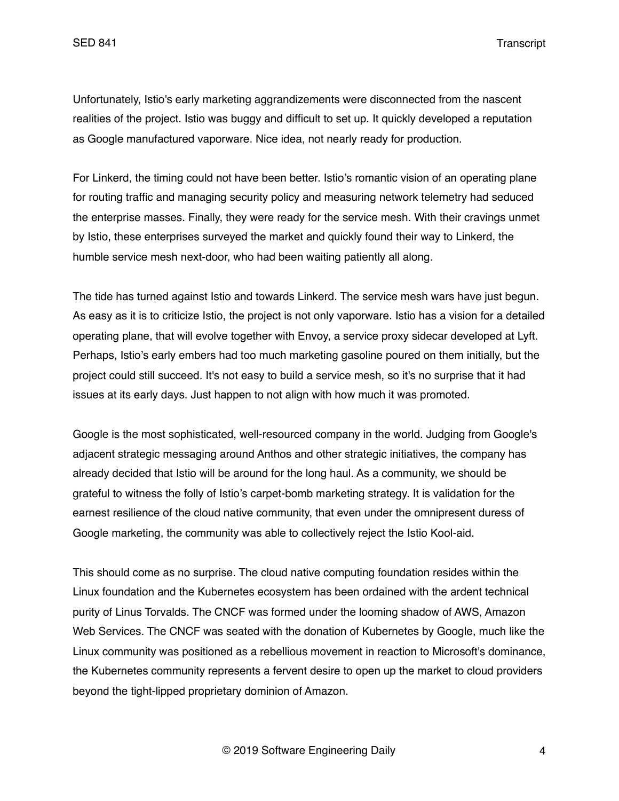Unfortunately, Istio's early marketing aggrandizements were disconnected from the nascent realities of the project. Istio was buggy and difficult to set up. It quickly developed a reputation as Google manufactured vaporware. Nice idea, not nearly ready for production.

For Linkerd, the timing could not have been better. Istio's romantic vision of an operating plane for routing traffic and managing security policy and measuring network telemetry had seduced the enterprise masses. Finally, they were ready for the service mesh. With their cravings unmet by Istio, these enterprises surveyed the market and quickly found their way to Linkerd, the humble service mesh next-door, who had been waiting patiently all along.

The tide has turned against Istio and towards Linkerd. The service mesh wars have just begun. As easy as it is to criticize Istio, the project is not only vaporware. Istio has a vision for a detailed operating plane, that will evolve together with Envoy, a service proxy sidecar developed at Lyft. Perhaps, Istio's early embers had too much marketing gasoline poured on them initially, but the project could still succeed. It's not easy to build a service mesh, so it's no surprise that it had issues at its early days. Just happen to not align with how much it was promoted.

Google is the most sophisticated, well-resourced company in the world. Judging from Google's adjacent strategic messaging around Anthos and other strategic initiatives, the company has already decided that Istio will be around for the long haul. As a community, we should be grateful to witness the folly of Istio's carpet-bomb marketing strategy. It is validation for the earnest resilience of the cloud native community, that even under the omnipresent duress of Google marketing, the community was able to collectively reject the Istio Kool-aid.

This should come as no surprise. The cloud native computing foundation resides within the Linux foundation and the Kubernetes ecosystem has been ordained with the ardent technical purity of Linus Torvalds. The CNCF was formed under the looming shadow of AWS, Amazon Web Services. The CNCF was seated with the donation of Kubernetes by Google, much like the Linux community was positioned as a rebellious movement in reaction to Microsoft's dominance, the Kubernetes community represents a fervent desire to open up the market to cloud providers beyond the tight-lipped proprietary dominion of Amazon.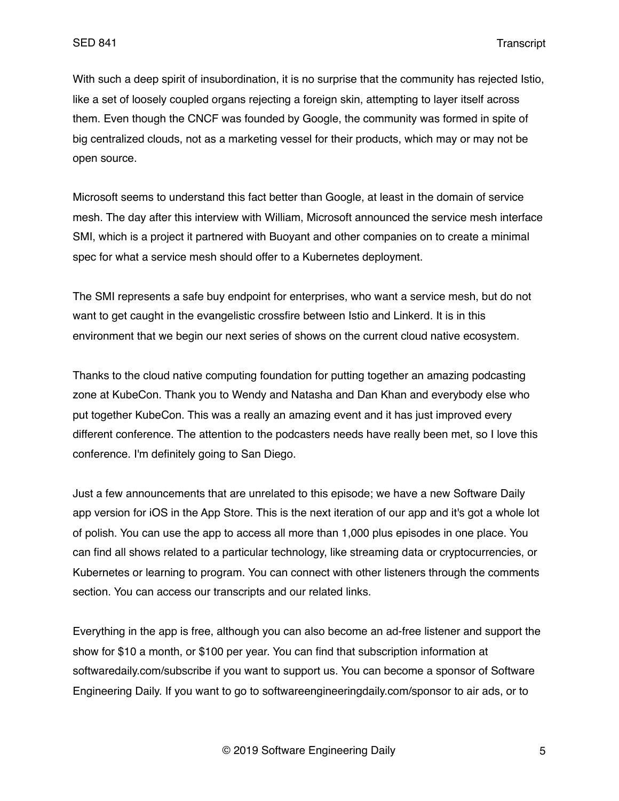With such a deep spirit of insubordination, it is no surprise that the community has rejected Istio, like a set of loosely coupled organs rejecting a foreign skin, attempting to layer itself across them. Even though the CNCF was founded by Google, the community was formed in spite of big centralized clouds, not as a marketing vessel for their products, which may or may not be open source.

Microsoft seems to understand this fact better than Google, at least in the domain of service mesh. The day after this interview with William, Microsoft announced the service mesh interface SMI, which is a project it partnered with Buoyant and other companies on to create a minimal spec for what a service mesh should offer to a Kubernetes deployment.

The SMI represents a safe buy endpoint for enterprises, who want a service mesh, but do not want to get caught in the evangelistic crossfire between Istio and Linkerd. It is in this environment that we begin our next series of shows on the current cloud native ecosystem.

Thanks to the cloud native computing foundation for putting together an amazing podcasting zone at KubeCon. Thank you to Wendy and Natasha and Dan Khan and everybody else who put together KubeCon. This was a really an amazing event and it has just improved every different conference. The attention to the podcasters needs have really been met, so I love this conference. I'm definitely going to San Diego.

Just a few announcements that are unrelated to this episode; we have a new Software Daily app version for iOS in the App Store. This is the next iteration of our app and it's got a whole lot of polish. You can use the app to access all more than 1,000 plus episodes in one place. You can find all shows related to a particular technology, like streaming data or cryptocurrencies, or Kubernetes or learning to program. You can connect with other listeners through the comments section. You can access our transcripts and our related links.

Everything in the app is free, although you can also become an ad-free listener and support the show for \$10 a month, or \$100 per year. You can find that subscription information at softwaredaily.com/subscribe if you want to support us. You can become a sponsor of Software Engineering Daily. If you want to go to softwareengineeringdaily.com/sponsor to air ads, or to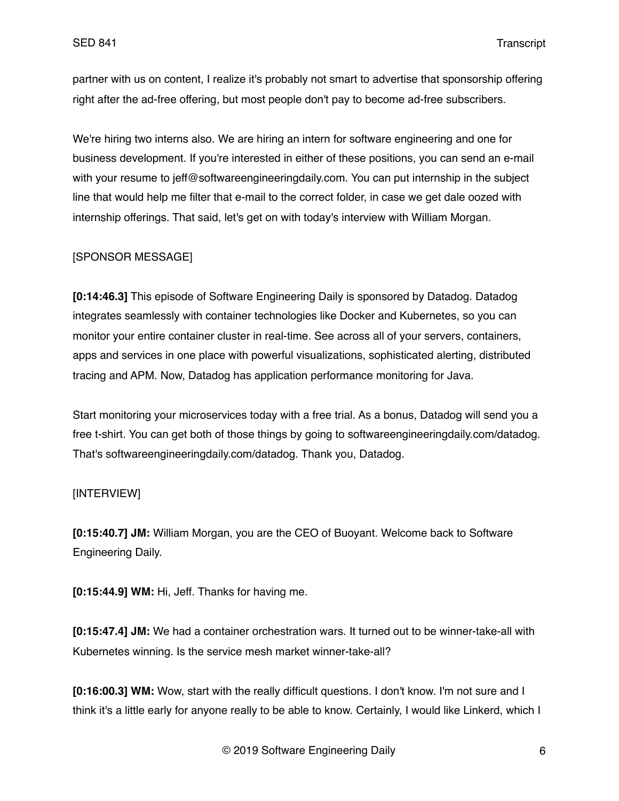partner with us on content, I realize it's probably not smart to advertise that sponsorship offering right after the ad-free offering, but most people don't pay to become ad-free subscribers.

We're hiring two interns also. We are hiring an intern for software engineering and one for business development. If you're interested in either of these positions, you can send an e-mail with your resume to jeff@softwareengineeringdaily.com. You can put internship in the subject line that would help me filter that e-mail to the correct folder, in case we get dale oozed with internship offerings. That said, let's get on with today's interview with William Morgan.

#### [SPONSOR MESSAGE]

**[0:14:46.3]** This episode of Software Engineering Daily is sponsored by Datadog. Datadog integrates seamlessly with container technologies like Docker and Kubernetes, so you can monitor your entire container cluster in real-time. See across all of your servers, containers, apps and services in one place with powerful visualizations, sophisticated alerting, distributed tracing and APM. Now, Datadog has application performance monitoring for Java.

Start monitoring your microservices today with a free trial. As a bonus, Datadog will send you a free t-shirt. You can get both of those things by going to softwareengineeringdaily.com/datadog. That's softwareengineeringdaily.com/datadog. Thank you, Datadog.

#### [INTERVIEW]

**[0:15:40.7] JM:** William Morgan, you are the CEO of Buoyant. Welcome back to Software Engineering Daily.

**[0:15:44.9] WM:** Hi, Jeff. Thanks for having me.

**[0:15:47.4] JM:** We had a container orchestration wars. It turned out to be winner-take-all with Kubernetes winning. Is the service mesh market winner-take-all?

**[0:16:00.3] WM:** Wow, start with the really difficult questions. I don't know. I'm not sure and I think it's a little early for anyone really to be able to know. Certainly, I would like Linkerd, which I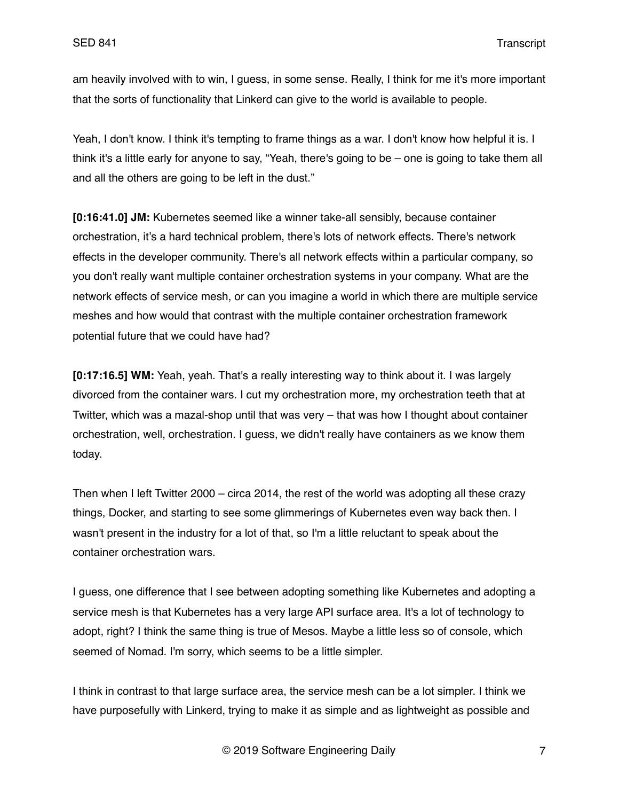am heavily involved with to win, I guess, in some sense. Really, I think for me it's more important that the sorts of functionality that Linkerd can give to the world is available to people.

Yeah, I don't know. I think it's tempting to frame things as a war. I don't know how helpful it is. I think it's a little early for anyone to say, "Yeah, there's going to be – one is going to take them all and all the others are going to be left in the dust."

**[0:16:41.0] JM:** Kubernetes seemed like a winner take-all sensibly, because container orchestration, it's a hard technical problem, there's lots of network effects. There's network effects in the developer community. There's all network effects within a particular company, so you don't really want multiple container orchestration systems in your company. What are the network effects of service mesh, or can you imagine a world in which there are multiple service meshes and how would that contrast with the multiple container orchestration framework potential future that we could have had?

**[0:17:16.5] WM:** Yeah, yeah. That's a really interesting way to think about it. I was largely divorced from the container wars. I cut my orchestration more, my orchestration teeth that at Twitter, which was a mazal-shop until that was very – that was how I thought about container orchestration, well, orchestration. I guess, we didn't really have containers as we know them today.

Then when I left Twitter 2000 – circa 2014, the rest of the world was adopting all these crazy things, Docker, and starting to see some glimmerings of Kubernetes even way back then. I wasn't present in the industry for a lot of that, so I'm a little reluctant to speak about the container orchestration wars.

I guess, one difference that I see between adopting something like Kubernetes and adopting a service mesh is that Kubernetes has a very large API surface area. It's a lot of technology to adopt, right? I think the same thing is true of Mesos. Maybe a little less so of console, which seemed of Nomad. I'm sorry, which seems to be a little simpler.

I think in contrast to that large surface area, the service mesh can be a lot simpler. I think we have purposefully with Linkerd, trying to make it as simple and as lightweight as possible and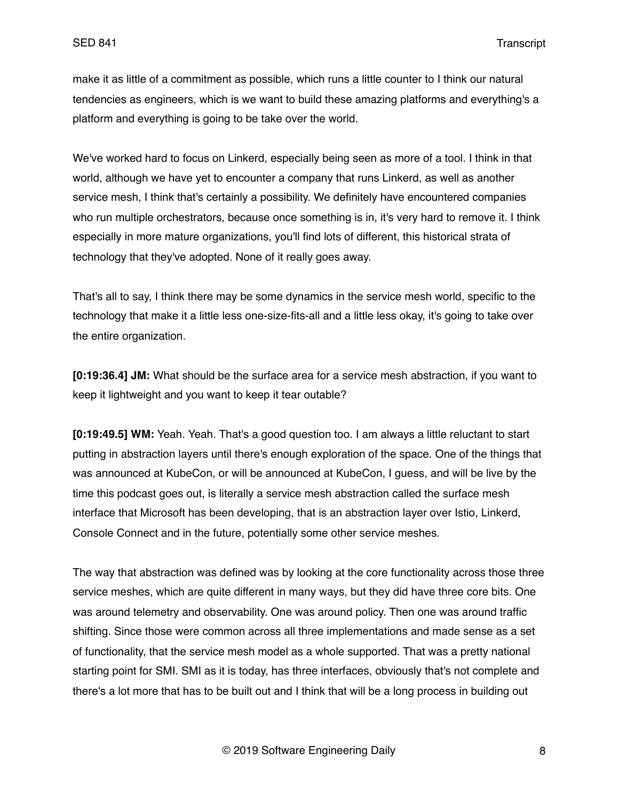make it as little of a commitment as possible, which runs a little counter to I think our natural tendencies as engineers, which is we want to build these amazing platforms and everything's a platform and everything is going to be take over the world.

We've worked hard to focus on Linkerd, especially being seen as more of a tool. I think in that world, although we have yet to encounter a company that runs Linkerd, as well as another service mesh, I think that's certainly a possibility. We definitely have encountered companies who run multiple orchestrators, because once something is in, it's very hard to remove it. I think especially in more mature organizations, you'll find lots of different, this historical strata of technology that they've adopted. None of it really goes away.

That's all to say, I think there may be some dynamics in the service mesh world, specific to the technology that make it a little less one-size-fits-all and a little less okay, it's going to take over the entire organization.

**[0:19:36.4] JM:** What should be the surface area for a service mesh abstraction, if you want to keep it lightweight and you want to keep it tear outable?

**[0:19:49.5] WM:** Yeah. Yeah. That's a good question too. I am always a little reluctant to start putting in abstraction layers until there's enough exploration of the space. One of the things that was announced at KubeCon, or will be announced at KubeCon, I guess, and will be live by the time this podcast goes out, is literally a service mesh abstraction called the surface mesh interface that Microsoft has been developing, that is an abstraction layer over Istio, Linkerd, Console Connect and in the future, potentially some other service meshes.

The way that abstraction was defined was by looking at the core functionality across those three service meshes, which are quite different in many ways, but they did have three core bits. One was around telemetry and observability. One was around policy. Then one was around traffic shifting. Since those were common across all three implementations and made sense as a set of functionality, that the service mesh model as a whole supported. That was a pretty national starting point for SMI. SMI as it is today, has three interfaces, obviously that's not complete and there's a lot more that has to be built out and I think that will be a long process in building out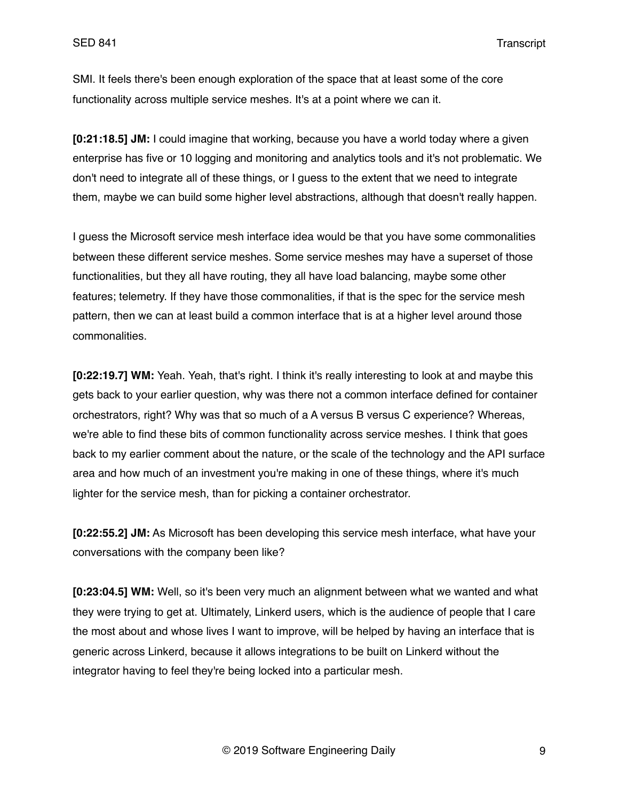SMI. It feels there's been enough exploration of the space that at least some of the core functionality across multiple service meshes. It's at a point where we can it.

**[0:21:18.5] JM:** I could imagine that working, because you have a world today where a given enterprise has five or 10 logging and monitoring and analytics tools and it's not problematic. We don't need to integrate all of these things, or I guess to the extent that we need to integrate them, maybe we can build some higher level abstractions, although that doesn't really happen.

I guess the Microsoft service mesh interface idea would be that you have some commonalities between these different service meshes. Some service meshes may have a superset of those functionalities, but they all have routing, they all have load balancing, maybe some other features; telemetry. If they have those commonalities, if that is the spec for the service mesh pattern, then we can at least build a common interface that is at a higher level around those commonalities.

**[0:22:19.7] WM:** Yeah. Yeah, that's right. I think it's really interesting to look at and maybe this gets back to your earlier question, why was there not a common interface defined for container orchestrators, right? Why was that so much of a A versus B versus C experience? Whereas, we're able to find these bits of common functionality across service meshes. I think that goes back to my earlier comment about the nature, or the scale of the technology and the API surface area and how much of an investment you're making in one of these things, where it's much lighter for the service mesh, than for picking a container orchestrator.

**[0:22:55.2] JM:** As Microsoft has been developing this service mesh interface, what have your conversations with the company been like?

**[0:23:04.5] WM:** Well, so it's been very much an alignment between what we wanted and what they were trying to get at. Ultimately, Linkerd users, which is the audience of people that I care the most about and whose lives I want to improve, will be helped by having an interface that is generic across Linkerd, because it allows integrations to be built on Linkerd without the integrator having to feel they're being locked into a particular mesh.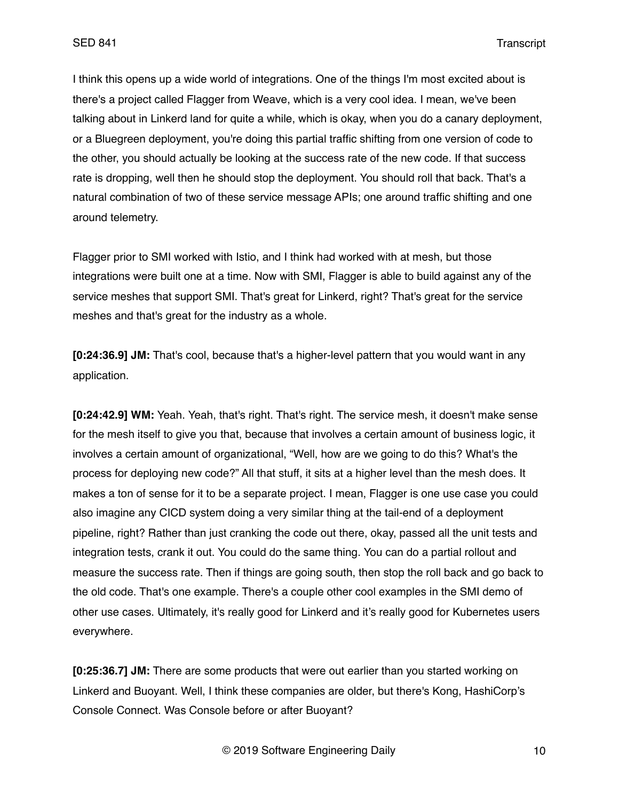I think this opens up a wide world of integrations. One of the things I'm most excited about is there's a project called Flagger from Weave, which is a very cool idea. I mean, we've been talking about in Linkerd land for quite a while, which is okay, when you do a canary deployment, or a Bluegreen deployment, you're doing this partial traffic shifting from one version of code to the other, you should actually be looking at the success rate of the new code. If that success rate is dropping, well then he should stop the deployment. You should roll that back. That's a natural combination of two of these service message APIs; one around traffic shifting and one around telemetry.

Flagger prior to SMI worked with Istio, and I think had worked with at mesh, but those integrations were built one at a time. Now with SMI, Flagger is able to build against any of the service meshes that support SMI. That's great for Linkerd, right? That's great for the service meshes and that's great for the industry as a whole.

**[0:24:36.9] JM:** That's cool, because that's a higher-level pattern that you would want in any application.

**[0:24:42.9] WM:** Yeah. Yeah, that's right. That's right. The service mesh, it doesn't make sense for the mesh itself to give you that, because that involves a certain amount of business logic, it involves a certain amount of organizational, "Well, how are we going to do this? What's the process for deploying new code?" All that stuff, it sits at a higher level than the mesh does. It makes a ton of sense for it to be a separate project. I mean, Flagger is one use case you could also imagine any CICD system doing a very similar thing at the tail-end of a deployment pipeline, right? Rather than just cranking the code out there, okay, passed all the unit tests and integration tests, crank it out. You could do the same thing. You can do a partial rollout and measure the success rate. Then if things are going south, then stop the roll back and go back to the old code. That's one example. There's a couple other cool examples in the SMI demo of other use cases. Ultimately, it's really good for Linkerd and it's really good for Kubernetes users everywhere.

**[0:25:36.7] JM:** There are some products that were out earlier than you started working on Linkerd and Buoyant. Well, I think these companies are older, but there's Kong, HashiCorp's Console Connect. Was Console before or after Buoyant?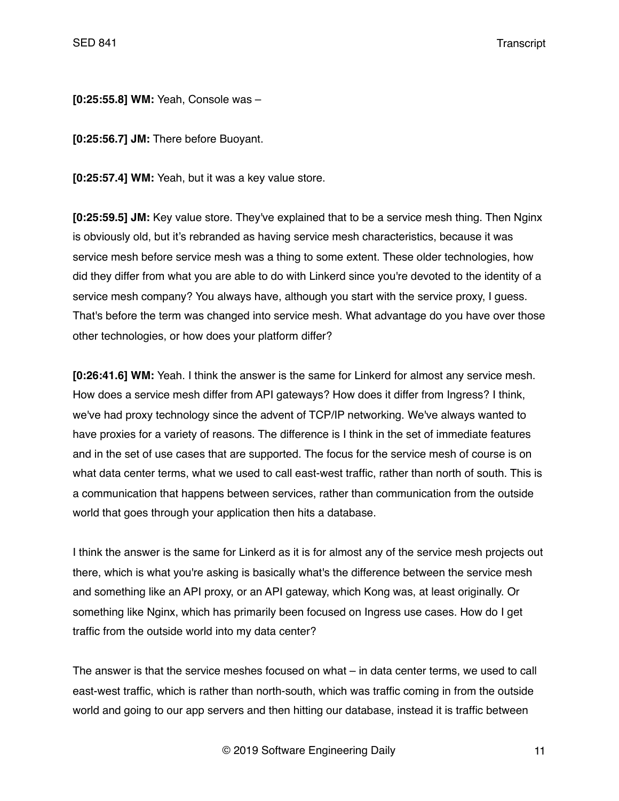**[0:25:55.8] WM:** Yeah, Console was –

**[0:25:56.7] JM:** There before Buoyant.

**[0:25:57.4] WM:** Yeah, but it was a key value store.

**[0:25:59.5] JM:** Key value store. They've explained that to be a service mesh thing. Then Nginx is obviously old, but it's rebranded as having service mesh characteristics, because it was service mesh before service mesh was a thing to some extent. These older technologies, how did they differ from what you are able to do with Linkerd since you're devoted to the identity of a service mesh company? You always have, although you start with the service proxy, I guess. That's before the term was changed into service mesh. What advantage do you have over those other technologies, or how does your platform differ?

**[0:26:41.6] WM:** Yeah. I think the answer is the same for Linkerd for almost any service mesh. How does a service mesh differ from API gateways? How does it differ from Ingress? I think, we've had proxy technology since the advent of TCP/IP networking. We've always wanted to have proxies for a variety of reasons. The difference is I think in the set of immediate features and in the set of use cases that are supported. The focus for the service mesh of course is on what data center terms, what we used to call east-west traffic, rather than north of south. This is a communication that happens between services, rather than communication from the outside world that goes through your application then hits a database.

I think the answer is the same for Linkerd as it is for almost any of the service mesh projects out there, which is what you're asking is basically what's the difference between the service mesh and something like an API proxy, or an API gateway, which Kong was, at least originally. Or something like Nginx, which has primarily been focused on Ingress use cases. How do I get traffic from the outside world into my data center?

The answer is that the service meshes focused on what – in data center terms, we used to call east-west traffic, which is rather than north-south, which was traffic coming in from the outside world and going to our app servers and then hitting our database, instead it is traffic between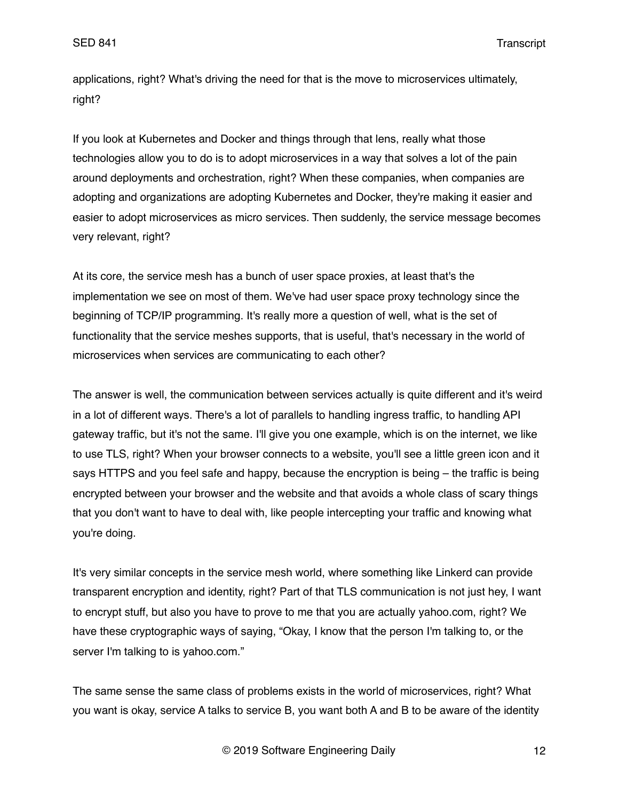applications, right? What's driving the need for that is the move to microservices ultimately, right?

If you look at Kubernetes and Docker and things through that lens, really what those technologies allow you to do is to adopt microservices in a way that solves a lot of the pain around deployments and orchestration, right? When these companies, when companies are adopting and organizations are adopting Kubernetes and Docker, they're making it easier and easier to adopt microservices as micro services. Then suddenly, the service message becomes very relevant, right?

At its core, the service mesh has a bunch of user space proxies, at least that's the implementation we see on most of them. We've had user space proxy technology since the beginning of TCP/IP programming. It's really more a question of well, what is the set of functionality that the service meshes supports, that is useful, that's necessary in the world of microservices when services are communicating to each other?

The answer is well, the communication between services actually is quite different and it's weird in a lot of different ways. There's a lot of parallels to handling ingress traffic, to handling API gateway traffic, but it's not the same. I'll give you one example, which is on the internet, we like to use TLS, right? When your browser connects to a website, you'll see a little green icon and it says HTTPS and you feel safe and happy, because the encryption is being – the traffic is being encrypted between your browser and the website and that avoids a whole class of scary things that you don't want to have to deal with, like people intercepting your traffic and knowing what you're doing.

It's very similar concepts in the service mesh world, where something like Linkerd can provide transparent encryption and identity, right? Part of that TLS communication is not just hey, I want to encrypt stuff, but also you have to prove to me that you are actually yahoo.com, right? We have these cryptographic ways of saying, "Okay, I know that the person I'm talking to, or the server I'm talking to is yahoo.com."

The same sense the same class of problems exists in the world of microservices, right? What you want is okay, service A talks to service B, you want both A and B to be aware of the identity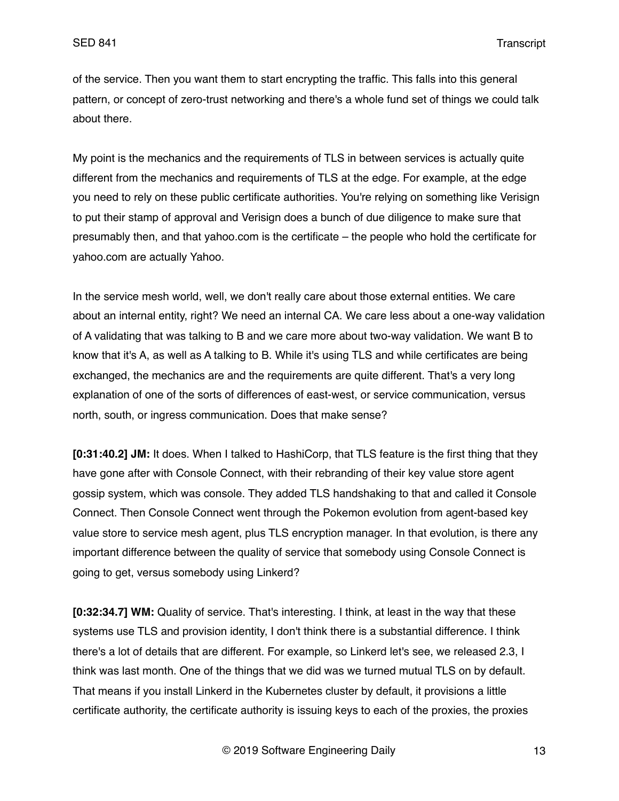of the service. Then you want them to start encrypting the traffic. This falls into this general pattern, or concept of zero-trust networking and there's a whole fund set of things we could talk about there.

My point is the mechanics and the requirements of TLS in between services is actually quite different from the mechanics and requirements of TLS at the edge. For example, at the edge you need to rely on these public certificate authorities. You're relying on something like Verisign to put their stamp of approval and Verisign does a bunch of due diligence to make sure that presumably then, and that yahoo.com is the certificate – the people who hold the certificate for yahoo.com are actually Yahoo.

In the service mesh world, well, we don't really care about those external entities. We care about an internal entity, right? We need an internal CA. We care less about a one-way validation of A validating that was talking to B and we care more about two-way validation. We want B to know that it's A, as well as A talking to B. While it's using TLS and while certificates are being exchanged, the mechanics are and the requirements are quite different. That's a very long explanation of one of the sorts of differences of east-west, or service communication, versus north, south, or ingress communication. Does that make sense?

**[0:31:40.2] JM:** It does. When I talked to HashiCorp, that TLS feature is the first thing that they have gone after with Console Connect, with their rebranding of their key value store agent gossip system, which was console. They added TLS handshaking to that and called it Console Connect. Then Console Connect went through the Pokemon evolution from agent-based key value store to service mesh agent, plus TLS encryption manager. In that evolution, is there any important difference between the quality of service that somebody using Console Connect is going to get, versus somebody using Linkerd?

**[0:32:34.7] WM:** Quality of service. That's interesting. I think, at least in the way that these systems use TLS and provision identity, I don't think there is a substantial difference. I think there's a lot of details that are different. For example, so Linkerd let's see, we released 2.3, I think was last month. One of the things that we did was we turned mutual TLS on by default. That means if you install Linkerd in the Kubernetes cluster by default, it provisions a little certificate authority, the certificate authority is issuing keys to each of the proxies, the proxies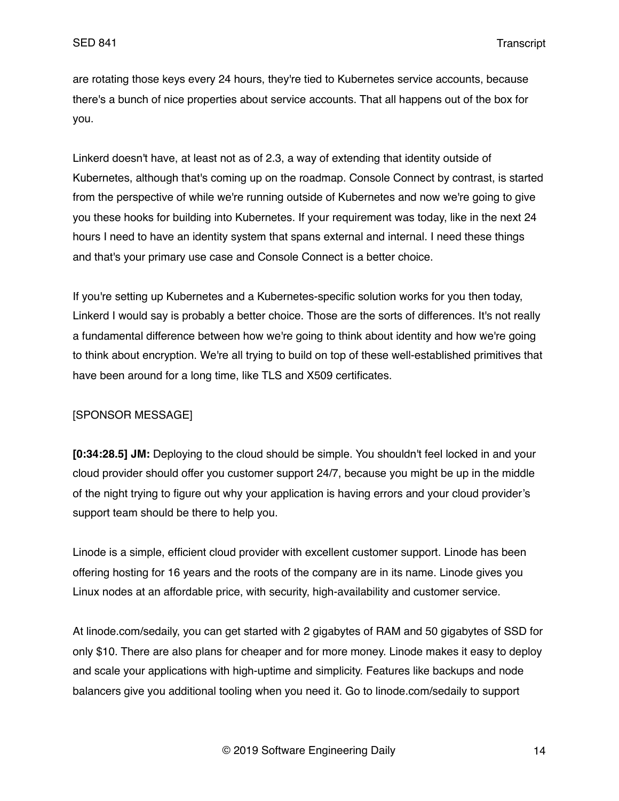are rotating those keys every 24 hours, they're tied to Kubernetes service accounts, because there's a bunch of nice properties about service accounts. That all happens out of the box for you.

Linkerd doesn't have, at least not as of 2.3, a way of extending that identity outside of Kubernetes, although that's coming up on the roadmap. Console Connect by contrast, is started from the perspective of while we're running outside of Kubernetes and now we're going to give you these hooks for building into Kubernetes. If your requirement was today, like in the next 24 hours I need to have an identity system that spans external and internal. I need these things and that's your primary use case and Console Connect is a better choice.

If you're setting up Kubernetes and a Kubernetes-specific solution works for you then today, Linkerd I would say is probably a better choice. Those are the sorts of differences. It's not really a fundamental difference between how we're going to think about identity and how we're going to think about encryption. We're all trying to build on top of these well-established primitives that have been around for a long time, like TLS and X509 certificates.

### [SPONSOR MESSAGE]

**[0:34:28.5] JM:** Deploying to the cloud should be simple. You shouldn't feel locked in and your cloud provider should offer you customer support 24/7, because you might be up in the middle of the night trying to figure out why your application is having errors and your cloud provider's support team should be there to help you.

Linode is a simple, efficient cloud provider with excellent customer support. Linode has been offering hosting for 16 years and the roots of the company are in its name. Linode gives you Linux nodes at an affordable price, with security, high-availability and customer service.

At linode.com/sedaily, you can get started with 2 gigabytes of RAM and 50 gigabytes of SSD for only \$10. There are also plans for cheaper and for more money. Linode makes it easy to deploy and scale your applications with high-uptime and simplicity. Features like backups and node balancers give you additional tooling when you need it. Go to linode.com/sedaily to support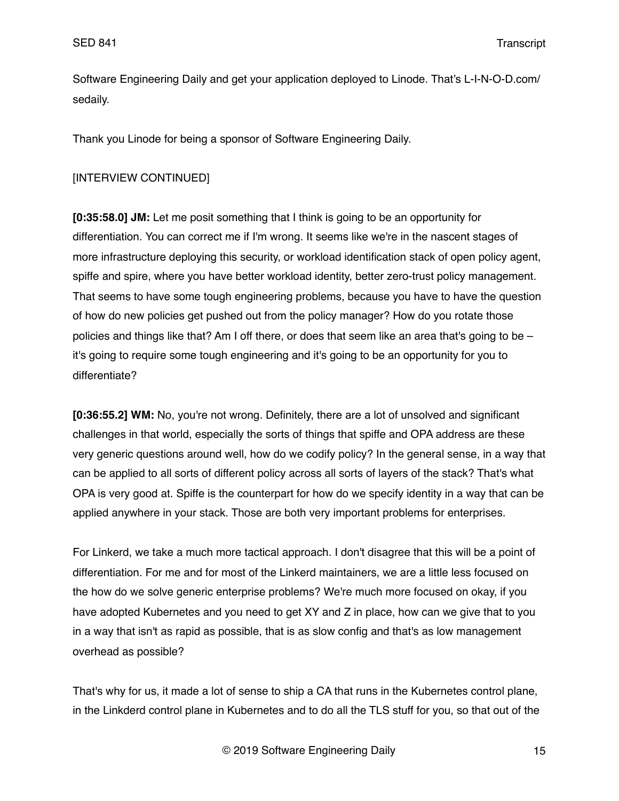Software Engineering Daily and get your application deployed to Linode. That's L-I-N-O-D.com/ sedaily.

Thank you Linode for being a sponsor of Software Engineering Daily.

## [INTERVIEW CONTINUED]

**[0:35:58.0] JM:** Let me posit something that I think is going to be an opportunity for differentiation. You can correct me if I'm wrong. It seems like we're in the nascent stages of more infrastructure deploying this security, or workload identification stack of open policy agent, spiffe and spire, where you have better workload identity, better zero-trust policy management. That seems to have some tough engineering problems, because you have to have the question of how do new policies get pushed out from the policy manager? How do you rotate those policies and things like that? Am I off there, or does that seem like an area that's going to be  $$ it's going to require some tough engineering and it's going to be an opportunity for you to differentiate?

**[0:36:55.2] WM:** No, you're not wrong. Definitely, there are a lot of unsolved and significant challenges in that world, especially the sorts of things that spiffe and OPA address are these very generic questions around well, how do we codify policy? In the general sense, in a way that can be applied to all sorts of different policy across all sorts of layers of the stack? That's what OPA is very good at. Spiffe is the counterpart for how do we specify identity in a way that can be applied anywhere in your stack. Those are both very important problems for enterprises.

For Linkerd, we take a much more tactical approach. I don't disagree that this will be a point of differentiation. For me and for most of the Linkerd maintainers, we are a little less focused on the how do we solve generic enterprise problems? We're much more focused on okay, if you have adopted Kubernetes and you need to get XY and Z in place, how can we give that to you in a way that isn't as rapid as possible, that is as slow config and that's as low management overhead as possible?

That's why for us, it made a lot of sense to ship a CA that runs in the Kubernetes control plane, in the Linkderd control plane in Kubernetes and to do all the TLS stuff for you, so that out of the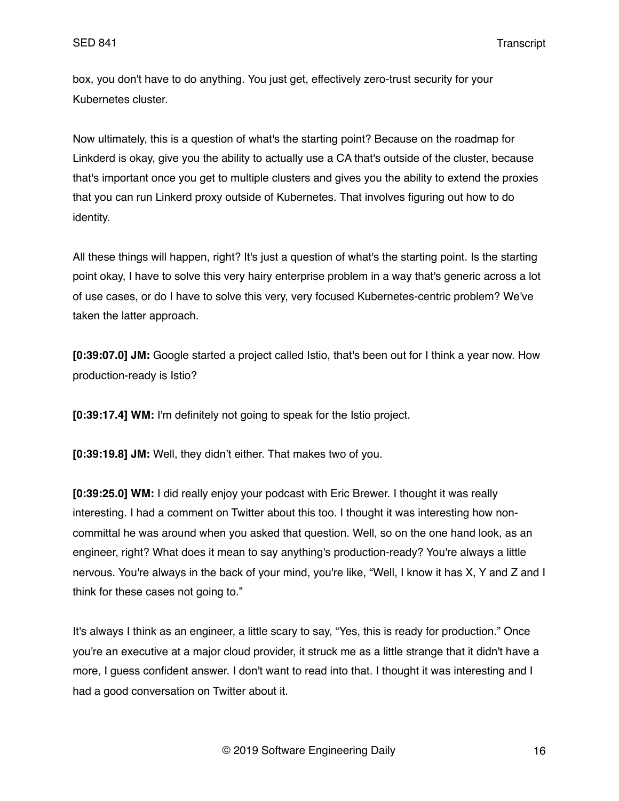box, you don't have to do anything. You just get, effectively zero-trust security for your Kubernetes cluster.

Now ultimately, this is a question of what's the starting point? Because on the roadmap for Linkderd is okay, give you the ability to actually use a CA that's outside of the cluster, because that's important once you get to multiple clusters and gives you the ability to extend the proxies that you can run Linkerd proxy outside of Kubernetes. That involves figuring out how to do identity.

All these things will happen, right? It's just a question of what's the starting point. Is the starting point okay, I have to solve this very hairy enterprise problem in a way that's generic across a lot of use cases, or do I have to solve this very, very focused Kubernetes-centric problem? We've taken the latter approach.

**[0:39:07.0] JM:** Google started a project called Istio, that's been out for I think a year now. How production-ready is Istio?

**[0:39:17.4] WM:** I'm definitely not going to speak for the Istio project.

**[0:39:19.8] JM:** Well, they didn't either. That makes two of you.

**[0:39:25.0] WM:** I did really enjoy your podcast with Eric Brewer. I thought it was really interesting. I had a comment on Twitter about this too. I thought it was interesting how noncommittal he was around when you asked that question. Well, so on the one hand look, as an engineer, right? What does it mean to say anything's production-ready? You're always a little nervous. You're always in the back of your mind, you're like, "Well, I know it has X, Y and Z and I think for these cases not going to."

It's always I think as an engineer, a little scary to say, "Yes, this is ready for production." Once you're an executive at a major cloud provider, it struck me as a little strange that it didn't have a more, I guess confident answer. I don't want to read into that. I thought it was interesting and I had a good conversation on Twitter about it.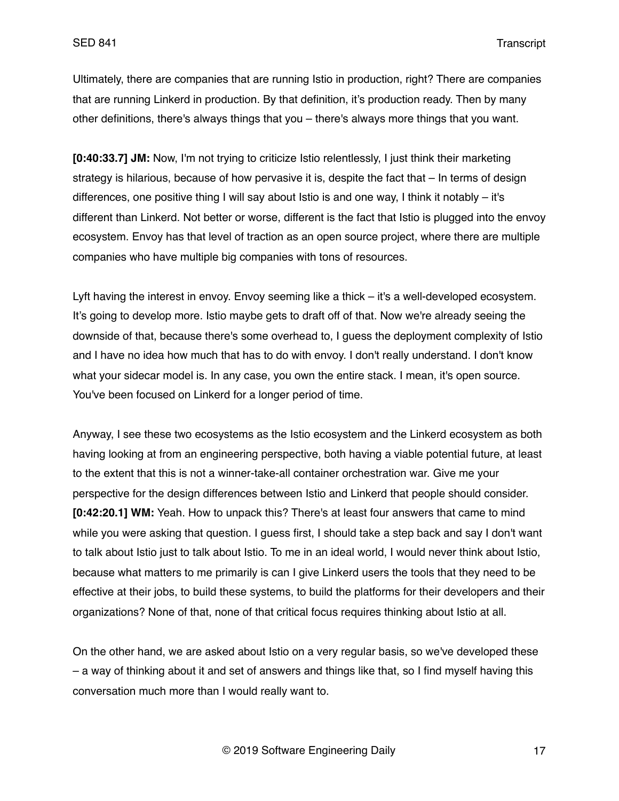Ultimately, there are companies that are running Istio in production, right? There are companies that are running Linkerd in production. By that definition, it's production ready. Then by many other definitions, there's always things that you – there's always more things that you want.

**[0:40:33.7] JM:** Now, I'm not trying to criticize Istio relentlessly, I just think their marketing strategy is hilarious, because of how pervasive it is, despite the fact that – In terms of design differences, one positive thing I will say about Istio is and one way, I think it notably – it's different than Linkerd. Not better or worse, different is the fact that Istio is plugged into the envoy ecosystem. Envoy has that level of traction as an open source project, where there are multiple companies who have multiple big companies with tons of resources.

Lyft having the interest in envoy. Envoy seeming like a thick – it's a well-developed ecosystem. It's going to develop more. Istio maybe gets to draft off of that. Now we're already seeing the downside of that, because there's some overhead to, I guess the deployment complexity of Istio and I have no idea how much that has to do with envoy. I don't really understand. I don't know what your sidecar model is. In any case, you own the entire stack. I mean, it's open source. You've been focused on Linkerd for a longer period of time.

Anyway, I see these two ecosystems as the Istio ecosystem and the Linkerd ecosystem as both having looking at from an engineering perspective, both having a viable potential future, at least to the extent that this is not a winner-take-all container orchestration war. Give me your perspective for the design differences between Istio and Linkerd that people should consider. **[0:42:20.1] WM:** Yeah. How to unpack this? There's at least four answers that came to mind while you were asking that question. I quess first, I should take a step back and say I don't want to talk about Istio just to talk about Istio. To me in an ideal world, I would never think about Istio, because what matters to me primarily is can I give Linkerd users the tools that they need to be effective at their jobs, to build these systems, to build the platforms for their developers and their organizations? None of that, none of that critical focus requires thinking about Istio at all.

On the other hand, we are asked about Istio on a very regular basis, so we've developed these – a way of thinking about it and set of answers and things like that, so I find myself having this conversation much more than I would really want to.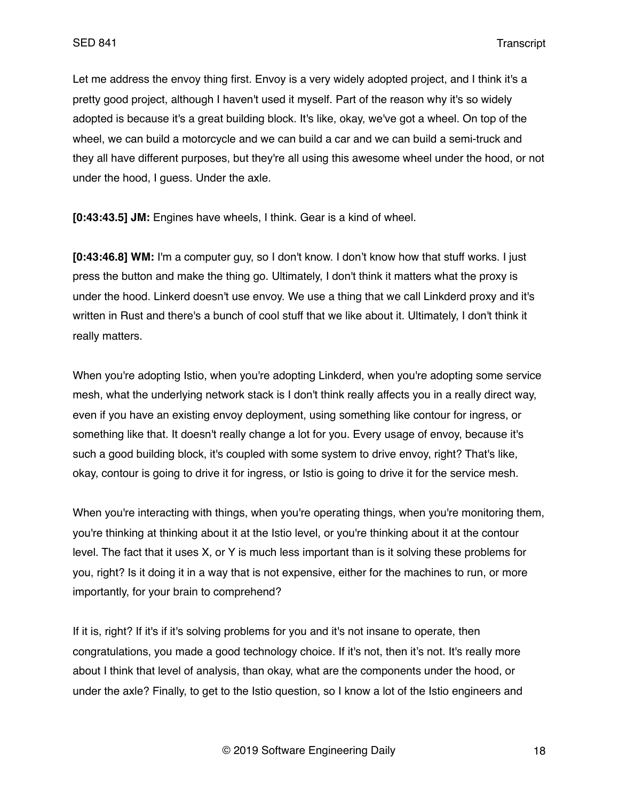Let me address the envoy thing first. Envoy is a very widely adopted project, and I think it's a pretty good project, although I haven't used it myself. Part of the reason why it's so widely adopted is because it's a great building block. It's like, okay, we've got a wheel. On top of the wheel, we can build a motorcycle and we can build a car and we can build a semi-truck and they all have different purposes, but they're all using this awesome wheel under the hood, or not under the hood, I guess. Under the axle.

**[0:43:43.5] JM:** Engines have wheels, I think. Gear is a kind of wheel.

**[0:43:46.8] WM:** I'm a computer guy, so I don't know. I don't know how that stuff works. I just press the button and make the thing go. Ultimately, I don't think it matters what the proxy is under the hood. Linkerd doesn't use envoy. We use a thing that we call Linkderd proxy and it's written in Rust and there's a bunch of cool stuff that we like about it. Ultimately, I don't think it really matters.

When you're adopting Istio, when you're adopting Linkderd, when you're adopting some service mesh, what the underlying network stack is I don't think really affects you in a really direct way, even if you have an existing envoy deployment, using something like contour for ingress, or something like that. It doesn't really change a lot for you. Every usage of envoy, because it's such a good building block, it's coupled with some system to drive envoy, right? That's like, okay, contour is going to drive it for ingress, or Istio is going to drive it for the service mesh.

When you're interacting with things, when you're operating things, when you're monitoring them, you're thinking at thinking about it at the Istio level, or you're thinking about it at the contour level. The fact that it uses X, or Y is much less important than is it solving these problems for you, right? Is it doing it in a way that is not expensive, either for the machines to run, or more importantly, for your brain to comprehend?

If it is, right? If it's if it's solving problems for you and it's not insane to operate, then congratulations, you made a good technology choice. If it's not, then it's not. It's really more about I think that level of analysis, than okay, what are the components under the hood, or under the axle? Finally, to get to the Istio question, so I know a lot of the Istio engineers and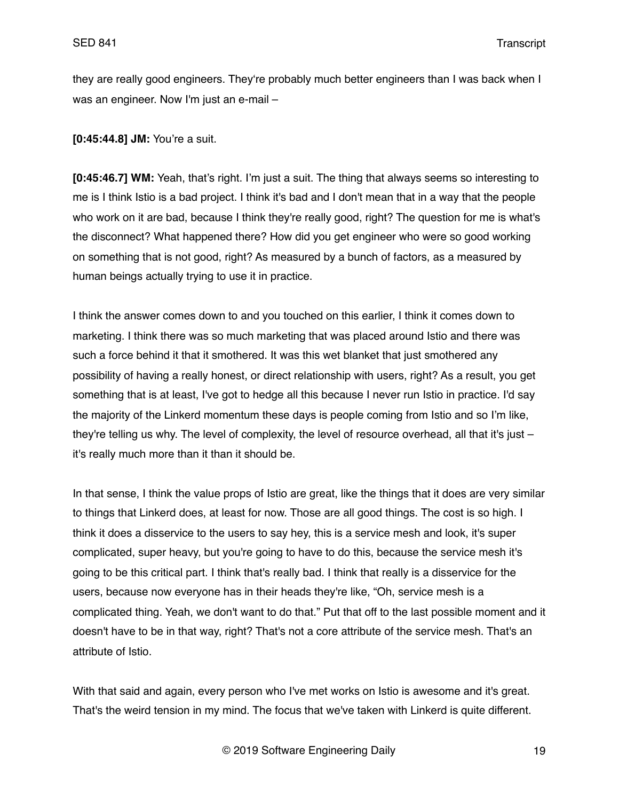they are really good engineers. They're probably much better engineers than I was back when I was an engineer. Now I'm just an e-mail –

**[0:45:44.8] JM:** You're a suit.

**[0:45:46.7] WM:** Yeah, that's right. I'm just a suit. The thing that always seems so interesting to me is I think Istio is a bad project. I think it's bad and I don't mean that in a way that the people who work on it are bad, because I think they're really good, right? The question for me is what's the disconnect? What happened there? How did you get engineer who were so good working on something that is not good, right? As measured by a bunch of factors, as a measured by human beings actually trying to use it in practice.

I think the answer comes down to and you touched on this earlier, I think it comes down to marketing. I think there was so much marketing that was placed around Istio and there was such a force behind it that it smothered. It was this wet blanket that just smothered any possibility of having a really honest, or direct relationship with users, right? As a result, you get something that is at least, I've got to hedge all this because I never run Istio in practice. I'd say the majority of the Linkerd momentum these days is people coming from Istio and so I'm like, they're telling us why. The level of complexity, the level of resource overhead, all that it's just – it's really much more than it than it should be.

In that sense, I think the value props of Istio are great, like the things that it does are very similar to things that Linkerd does, at least for now. Those are all good things. The cost is so high. I think it does a disservice to the users to say hey, this is a service mesh and look, it's super complicated, super heavy, but you're going to have to do this, because the service mesh it's going to be this critical part. I think that's really bad. I think that really is a disservice for the users, because now everyone has in their heads they're like, "Oh, service mesh is a complicated thing. Yeah, we don't want to do that." Put that off to the last possible moment and it doesn't have to be in that way, right? That's not a core attribute of the service mesh. That's an attribute of Istio.

With that said and again, every person who I've met works on Istio is awesome and it's great. That's the weird tension in my mind. The focus that we've taken with Linkerd is quite different.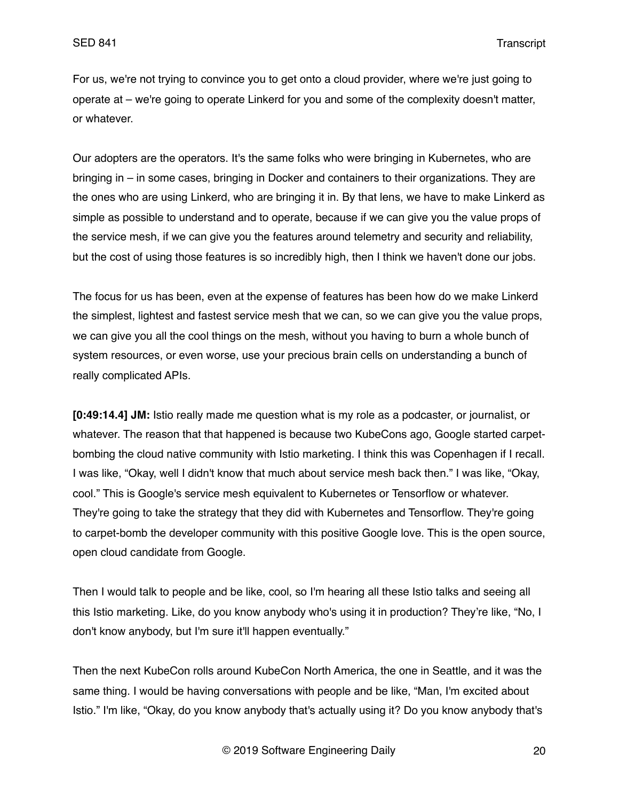For us, we're not trying to convince you to get onto a cloud provider, where we're just going to operate at – we're going to operate Linkerd for you and some of the complexity doesn't matter, or whatever.

Our adopters are the operators. It's the same folks who were bringing in Kubernetes, who are bringing in – in some cases, bringing in Docker and containers to their organizations. They are the ones who are using Linkerd, who are bringing it in. By that lens, we have to make Linkerd as simple as possible to understand and to operate, because if we can give you the value props of the service mesh, if we can give you the features around telemetry and security and reliability, but the cost of using those features is so incredibly high, then I think we haven't done our jobs.

The focus for us has been, even at the expense of features has been how do we make Linkerd the simplest, lightest and fastest service mesh that we can, so we can give you the value props, we can give you all the cool things on the mesh, without you having to burn a whole bunch of system resources, or even worse, use your precious brain cells on understanding a bunch of really complicated APIs.

**[0:49:14.4] JM:** Istio really made me question what is my role as a podcaster, or journalist, or whatever. The reason that that happened is because two KubeCons ago, Google started carpetbombing the cloud native community with Istio marketing. I think this was Copenhagen if I recall. I was like, "Okay, well I didn't know that much about service mesh back then." I was like, "Okay, cool." This is Google's service mesh equivalent to Kubernetes or Tensorflow or whatever. They're going to take the strategy that they did with Kubernetes and Tensorflow. They're going to carpet-bomb the developer community with this positive Google love. This is the open source, open cloud candidate from Google.

Then I would talk to people and be like, cool, so I'm hearing all these Istio talks and seeing all this Istio marketing. Like, do you know anybody who's using it in production? They're like, "No, I don't know anybody, but I'm sure it'll happen eventually."

Then the next KubeCon rolls around KubeCon North America, the one in Seattle, and it was the same thing. I would be having conversations with people and be like, "Man, I'm excited about Istio." I'm like, "Okay, do you know anybody that's actually using it? Do you know anybody that's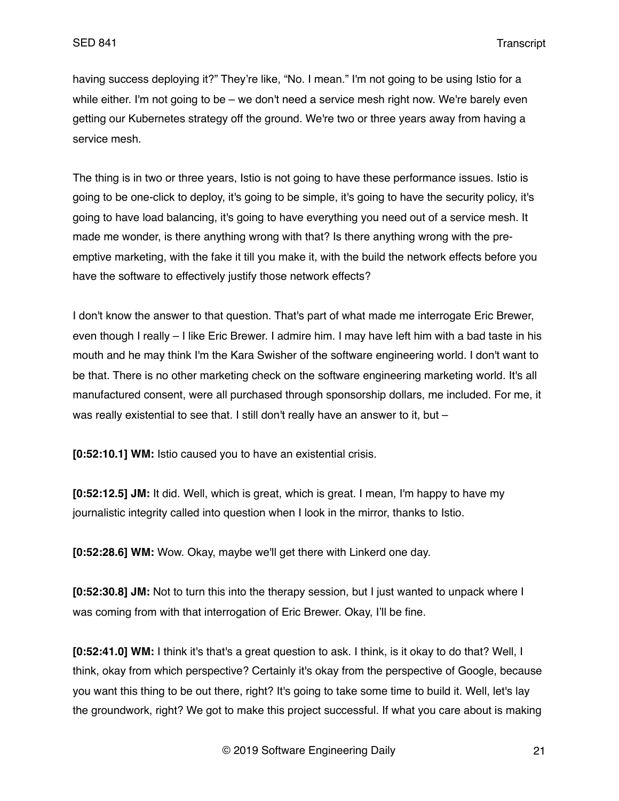having success deploying it?" They're like, "No. I mean." I'm not going to be using Istio for a while either. I'm not going to be – we don't need a service mesh right now. We're barely even getting our Kubernetes strategy off the ground. We're two or three years away from having a service mesh.

The thing is in two or three years, Istio is not going to have these performance issues. Istio is going to be one-click to deploy, it's going to be simple, it's going to have the security policy, it's going to have load balancing, it's going to have everything you need out of a service mesh. It made me wonder, is there anything wrong with that? Is there anything wrong with the preemptive marketing, with the fake it till you make it, with the build the network effects before you have the software to effectively justify those network effects?

I don't know the answer to that question. That's part of what made me interrogate Eric Brewer, even though I really – I like Eric Brewer. I admire him. I may have left him with a bad taste in his mouth and he may think I'm the Kara Swisher of the software engineering world. I don't want to be that. There is no other marketing check on the software engineering marketing world. It's all manufactured consent, were all purchased through sponsorship dollars, me included. For me, it was really existential to see that. I still don't really have an answer to it, but -

**[0:52:10.1] WM:** Istio caused you to have an existential crisis.

**[0:52:12.5] JM:** It did. Well, which is great, which is great. I mean, I'm happy to have my journalistic integrity called into question when I look in the mirror, thanks to Istio.

**[0:52:28.6] WM:** Wow. Okay, maybe we'll get there with Linkerd one day.

**[0:52:30.8] JM:** Not to turn this into the therapy session, but I just wanted to unpack where I was coming from with that interrogation of Eric Brewer. Okay, I'll be fine.

**[0:52:41.0] WM:** I think it's that's a great question to ask. I think, is it okay to do that? Well, I think, okay from which perspective? Certainly it's okay from the perspective of Google, because you want this thing to be out there, right? It's going to take some time to build it. Well, let's lay the groundwork, right? We got to make this project successful. If what you care about is making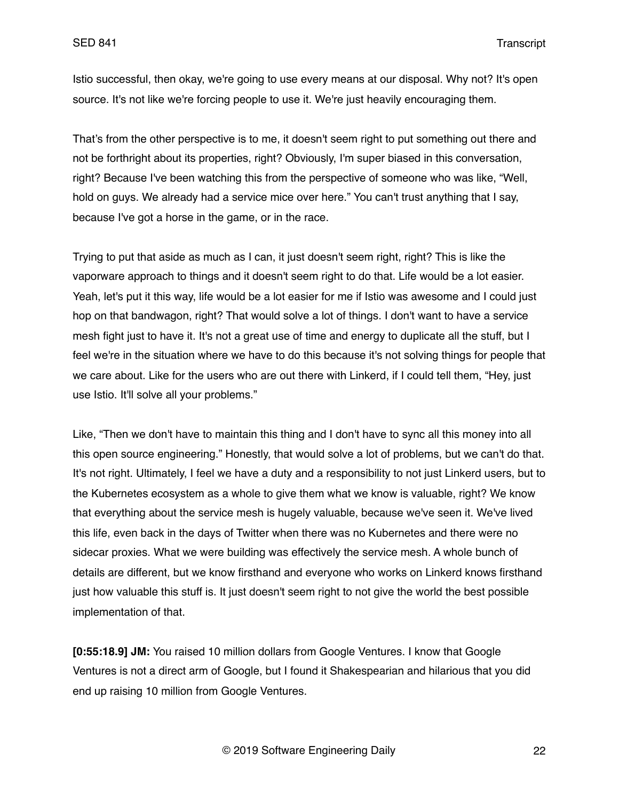Istio successful, then okay, we're going to use every means at our disposal. Why not? It's open source. It's not like we're forcing people to use it. We're just heavily encouraging them.

That's from the other perspective is to me, it doesn't seem right to put something out there and not be forthright about its properties, right? Obviously, I'm super biased in this conversation, right? Because I've been watching this from the perspective of someone who was like, "Well, hold on guys. We already had a service mice over here." You can't trust anything that I say, because I've got a horse in the game, or in the race.

Trying to put that aside as much as I can, it just doesn't seem right, right? This is like the vaporware approach to things and it doesn't seem right to do that. Life would be a lot easier. Yeah, let's put it this way, life would be a lot easier for me if Istio was awesome and I could just hop on that bandwagon, right? That would solve a lot of things. I don't want to have a service mesh fight just to have it. It's not a great use of time and energy to duplicate all the stuff, but I feel we're in the situation where we have to do this because it's not solving things for people that we care about. Like for the users who are out there with Linkerd, if I could tell them, "Hey, just use Istio. It'll solve all your problems."

Like, "Then we don't have to maintain this thing and I don't have to sync all this money into all this open source engineering." Honestly, that would solve a lot of problems, but we can't do that. It's not right. Ultimately, I feel we have a duty and a responsibility to not just Linkerd users, but to the Kubernetes ecosystem as a whole to give them what we know is valuable, right? We know that everything about the service mesh is hugely valuable, because we've seen it. We've lived this life, even back in the days of Twitter when there was no Kubernetes and there were no sidecar proxies. What we were building was effectively the service mesh. A whole bunch of details are different, but we know firsthand and everyone who works on Linkerd knows firsthand just how valuable this stuff is. It just doesn't seem right to not give the world the best possible implementation of that.

**[0:55:18.9] JM:** You raised 10 million dollars from Google Ventures. I know that Google Ventures is not a direct arm of Google, but I found it Shakespearian and hilarious that you did end up raising 10 million from Google Ventures.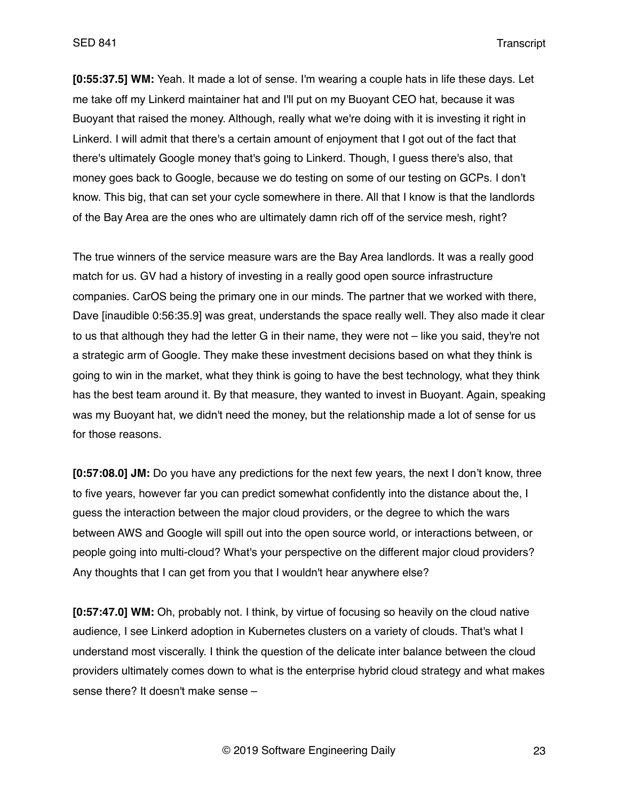**[0:55:37.5] WM:** Yeah. It made a lot of sense. I'm wearing a couple hats in life these days. Let me take off my Linkerd maintainer hat and I'll put on my Buoyant CEO hat, because it was Buoyant that raised the money. Although, really what we're doing with it is investing it right in Linkerd. I will admit that there's a certain amount of enjoyment that I got out of the fact that there's ultimately Google money that's going to Linkerd. Though, I guess there's also, that money goes back to Google, because we do testing on some of our testing on GCPs. I don't know. This big, that can set your cycle somewhere in there. All that I know is that the landlords of the Bay Area are the ones who are ultimately damn rich off of the service mesh, right?

The true winners of the service measure wars are the Bay Area landlords. It was a really good match for us. GV had a history of investing in a really good open source infrastructure companies. CarOS being the primary one in our minds. The partner that we worked with there, Dave [inaudible 0:56:35.9] was great, understands the space really well. They also made it clear to us that although they had the letter G in their name, they were not – like you said, they're not a strategic arm of Google. They make these investment decisions based on what they think is going to win in the market, what they think is going to have the best technology, what they think has the best team around it. By that measure, they wanted to invest in Buoyant. Again, speaking was my Buoyant hat, we didn't need the money, but the relationship made a lot of sense for us for those reasons.

**[0:57:08.0] JM:** Do you have any predictions for the next few years, the next I don't know, three to five years, however far you can predict somewhat confidently into the distance about the, I guess the interaction between the major cloud providers, or the degree to which the wars between AWS and Google will spill out into the open source world, or interactions between, or people going into multi-cloud? What's your perspective on the different major cloud providers? Any thoughts that I can get from you that I wouldn't hear anywhere else?

**[0:57:47.0] WM:** Oh, probably not. I think, by virtue of focusing so heavily on the cloud native audience, I see Linkerd adoption in Kubernetes clusters on a variety of clouds. That's what I understand most viscerally. I think the question of the delicate inter balance between the cloud providers ultimately comes down to what is the enterprise hybrid cloud strategy and what makes sense there? It doesn't make sense –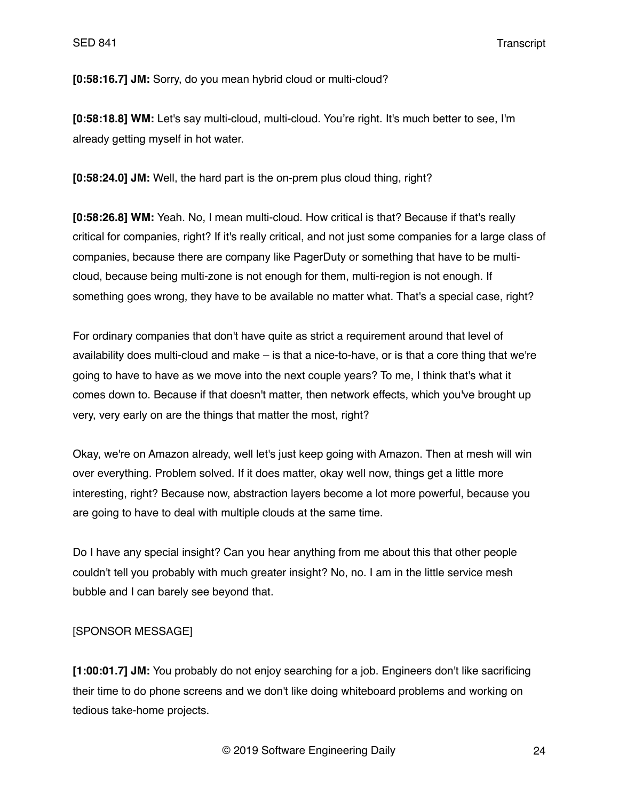**[0:58:16.7] JM:** Sorry, do you mean hybrid cloud or multi-cloud?

**[0:58:18.8] WM:** Let's say multi-cloud, multi-cloud. You're right. It's much better to see, I'm already getting myself in hot water.

**[0:58:24.0] JM:** Well, the hard part is the on-prem plus cloud thing, right?

**[0:58:26.8] WM:** Yeah. No, I mean multi-cloud. How critical is that? Because if that's really critical for companies, right? If it's really critical, and not just some companies for a large class of companies, because there are company like PagerDuty or something that have to be multicloud, because being multi-zone is not enough for them, multi-region is not enough. If something goes wrong, they have to be available no matter what. That's a special case, right?

For ordinary companies that don't have quite as strict a requirement around that level of availability does multi-cloud and make – is that a nice-to-have, or is that a core thing that we're going to have to have as we move into the next couple years? To me, I think that's what it comes down to. Because if that doesn't matter, then network effects, which you've brought up very, very early on are the things that matter the most, right?

Okay, we're on Amazon already, well let's just keep going with Amazon. Then at mesh will win over everything. Problem solved. If it does matter, okay well now, things get a little more interesting, right? Because now, abstraction layers become a lot more powerful, because you are going to have to deal with multiple clouds at the same time.

Do I have any special insight? Can you hear anything from me about this that other people couldn't tell you probably with much greater insight? No, no. I am in the little service mesh bubble and I can barely see beyond that.

# [SPONSOR MESSAGE]

**[1:00:01.7] JM:** You probably do not enjoy searching for a job. Engineers don't like sacrificing their time to do phone screens and we don't like doing whiteboard problems and working on tedious take-home projects.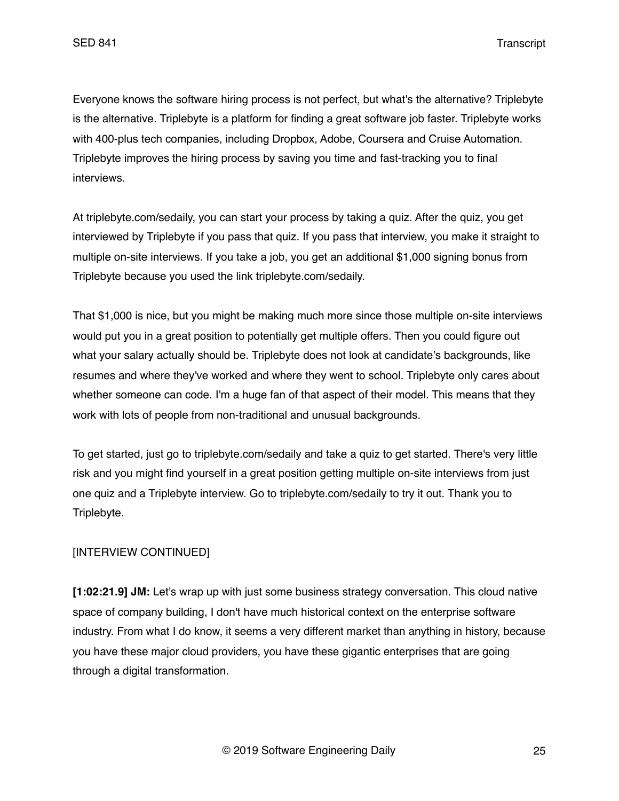Everyone knows the software hiring process is not perfect, but what's the alternative? Triplebyte is the alternative. Triplebyte is a platform for finding a great software job faster. Triplebyte works with 400-plus tech companies, including Dropbox, Adobe, Coursera and Cruise Automation. Triplebyte improves the hiring process by saving you time and fast-tracking you to final interviews.

At triplebyte.com/sedaily, you can start your process by taking a quiz. After the quiz, you get interviewed by Triplebyte if you pass that quiz. If you pass that interview, you make it straight to multiple on-site interviews. If you take a job, you get an additional \$1,000 signing bonus from Triplebyte because you used the link triplebyte.com/sedaily.

That \$1,000 is nice, but you might be making much more since those multiple on-site interviews would put you in a great position to potentially get multiple offers. Then you could figure out what your salary actually should be. Triplebyte does not look at candidate's backgrounds, like resumes and where they've worked and where they went to school. Triplebyte only cares about whether someone can code. I'm a huge fan of that aspect of their model. This means that they work with lots of people from non-traditional and unusual backgrounds.

To get started, just go to triplebyte.com/sedaily and take a quiz to get started. There's very little risk and you might find yourself in a great position getting multiple on-site interviews from just one quiz and a Triplebyte interview. Go to triplebyte.com/sedaily to try it out. Thank you to Triplebyte.

# [INTERVIEW CONTINUED]

**[1:02:21.9] JM:** Let's wrap up with just some business strategy conversation. This cloud native space of company building, I don't have much historical context on the enterprise software industry. From what I do know, it seems a very different market than anything in history, because you have these major cloud providers, you have these gigantic enterprises that are going through a digital transformation.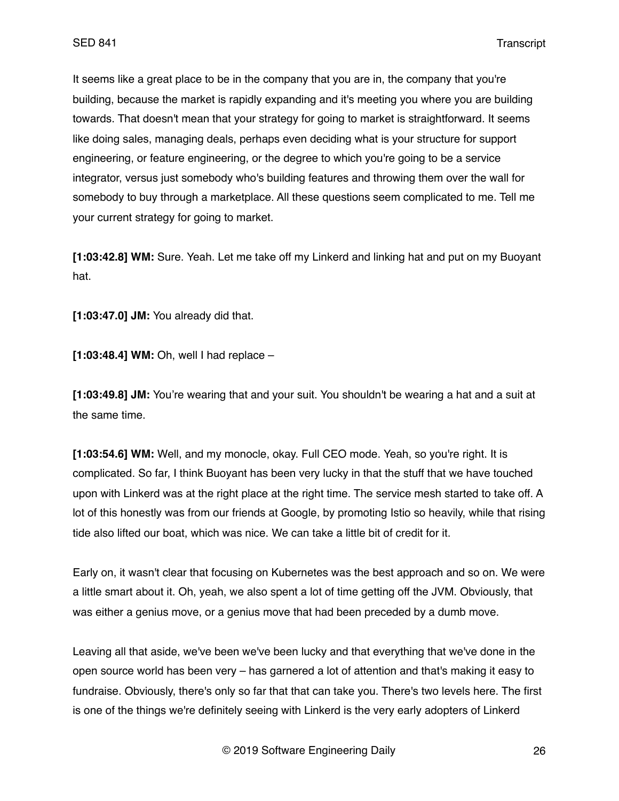It seems like a great place to be in the company that you are in, the company that you're building, because the market is rapidly expanding and it's meeting you where you are building towards. That doesn't mean that your strategy for going to market is straightforward. It seems like doing sales, managing deals, perhaps even deciding what is your structure for support engineering, or feature engineering, or the degree to which you're going to be a service integrator, versus just somebody who's building features and throwing them over the wall for somebody to buy through a marketplace. All these questions seem complicated to me. Tell me your current strategy for going to market.

**[1:03:42.8] WM:** Sure. Yeah. Let me take off my Linkerd and linking hat and put on my Buoyant hat.

**[1:03:47.0] JM:** You already did that.

**[1:03:48.4] WM:** Oh, well I had replace –

**[1:03:49.8] JM:** You're wearing that and your suit. You shouldn't be wearing a hat and a suit at the same time.

**[1:03:54.6] WM:** Well, and my monocle, okay. Full CEO mode. Yeah, so you're right. It is complicated. So far, I think Buoyant has been very lucky in that the stuff that we have touched upon with Linkerd was at the right place at the right time. The service mesh started to take off. A lot of this honestly was from our friends at Google, by promoting Istio so heavily, while that rising tide also lifted our boat, which was nice. We can take a little bit of credit for it.

Early on, it wasn't clear that focusing on Kubernetes was the best approach and so on. We were a little smart about it. Oh, yeah, we also spent a lot of time getting off the JVM. Obviously, that was either a genius move, or a genius move that had been preceded by a dumb move.

Leaving all that aside, we've been we've been lucky and that everything that we've done in the open source world has been very – has garnered a lot of attention and that's making it easy to fundraise. Obviously, there's only so far that that can take you. There's two levels here. The first is one of the things we're definitely seeing with Linkerd is the very early adopters of Linkerd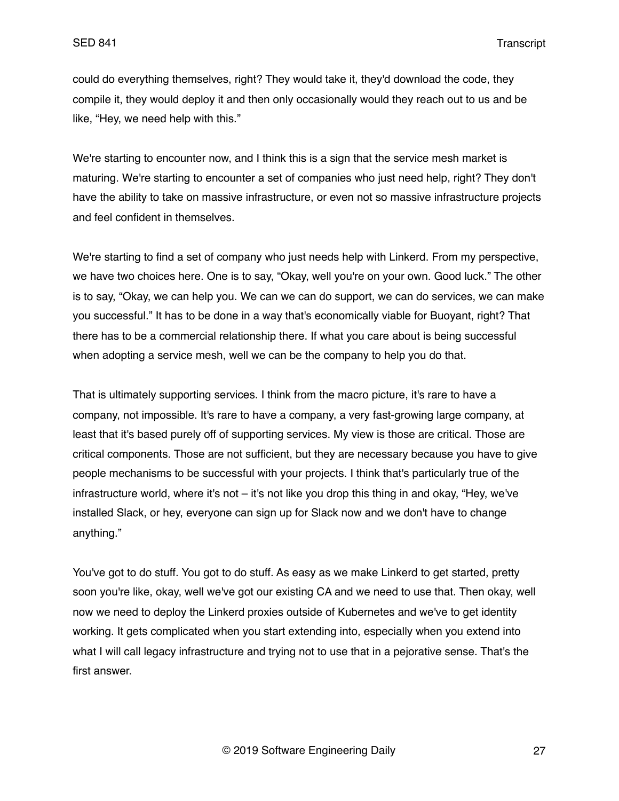could do everything themselves, right? They would take it, they'd download the code, they compile it, they would deploy it and then only occasionally would they reach out to us and be like, "Hey, we need help with this."

We're starting to encounter now, and I think this is a sign that the service mesh market is maturing. We're starting to encounter a set of companies who just need help, right? They don't have the ability to take on massive infrastructure, or even not so massive infrastructure projects and feel confident in themselves.

We're starting to find a set of company who just needs help with Linkerd. From my perspective, we have two choices here. One is to say, "Okay, well you're on your own. Good luck." The other is to say, "Okay, we can help you. We can we can do support, we can do services, we can make you successful." It has to be done in a way that's economically viable for Buoyant, right? That there has to be a commercial relationship there. If what you care about is being successful when adopting a service mesh, well we can be the company to help you do that.

That is ultimately supporting services. I think from the macro picture, it's rare to have a company, not impossible. It's rare to have a company, a very fast-growing large company, at least that it's based purely off of supporting services. My view is those are critical. Those are critical components. Those are not sufficient, but they are necessary because you have to give people mechanisms to be successful with your projects. I think that's particularly true of the infrastructure world, where it's not – it's not like you drop this thing in and okay, "Hey, we've installed Slack, or hey, everyone can sign up for Slack now and we don't have to change anything."

You've got to do stuff. You got to do stuff. As easy as we make Linkerd to get started, pretty soon you're like, okay, well we've got our existing CA and we need to use that. Then okay, well now we need to deploy the Linkerd proxies outside of Kubernetes and we've to get identity working. It gets complicated when you start extending into, especially when you extend into what I will call legacy infrastructure and trying not to use that in a pejorative sense. That's the first answer.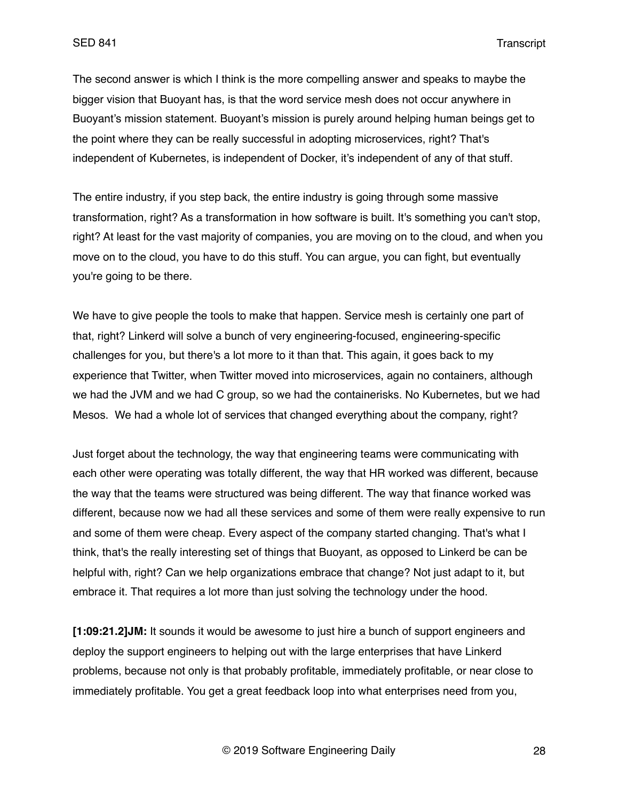The second answer is which I think is the more compelling answer and speaks to maybe the bigger vision that Buoyant has, is that the word service mesh does not occur anywhere in Buoyant's mission statement. Buoyant's mission is purely around helping human beings get to the point where they can be really successful in adopting microservices, right? That's independent of Kubernetes, is independent of Docker, it's independent of any of that stuff.

The entire industry, if you step back, the entire industry is going through some massive transformation, right? As a transformation in how software is built. It's something you can't stop, right? At least for the vast majority of companies, you are moving on to the cloud, and when you move on to the cloud, you have to do this stuff. You can argue, you can fight, but eventually you're going to be there.

We have to give people the tools to make that happen. Service mesh is certainly one part of that, right? Linkerd will solve a bunch of very engineering-focused, engineering-specific challenges for you, but there's a lot more to it than that. This again, it goes back to my experience that Twitter, when Twitter moved into microservices, again no containers, although we had the JVM and we had C group, so we had the containerisks. No Kubernetes, but we had Mesos. We had a whole lot of services that changed everything about the company, right?

Just forget about the technology, the way that engineering teams were communicating with each other were operating was totally different, the way that HR worked was different, because the way that the teams were structured was being different. The way that finance worked was different, because now we had all these services and some of them were really expensive to run and some of them were cheap. Every aspect of the company started changing. That's what I think, that's the really interesting set of things that Buoyant, as opposed to Linkerd be can be helpful with, right? Can we help organizations embrace that change? Not just adapt to it, but embrace it. That requires a lot more than just solving the technology under the hood.

**[1:09:21.2]JM:** It sounds it would be awesome to just hire a bunch of support engineers and deploy the support engineers to helping out with the large enterprises that have Linkerd problems, because not only is that probably profitable, immediately profitable, or near close to immediately profitable. You get a great feedback loop into what enterprises need from you,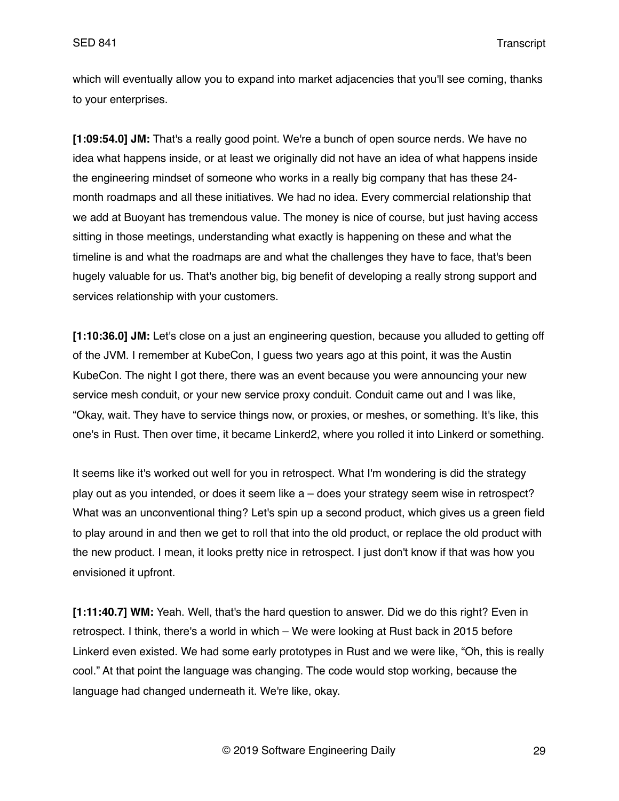which will eventually allow you to expand into market adjacencies that you'll see coming, thanks to your enterprises.

**[1:09:54.0] JM:** That's a really good point. We're a bunch of open source nerds. We have no idea what happens inside, or at least we originally did not have an idea of what happens inside the engineering mindset of someone who works in a really big company that has these 24 month roadmaps and all these initiatives. We had no idea. Every commercial relationship that we add at Buoyant has tremendous value. The money is nice of course, but just having access sitting in those meetings, understanding what exactly is happening on these and what the timeline is and what the roadmaps are and what the challenges they have to face, that's been hugely valuable for us. That's another big, big benefit of developing a really strong support and services relationship with your customers.

**[1:10:36.0] JM:** Let's close on a just an engineering question, because you alluded to getting off of the JVM. I remember at KubeCon, I guess two years ago at this point, it was the Austin KubeCon. The night I got there, there was an event because you were announcing your new service mesh conduit, or your new service proxy conduit. Conduit came out and I was like, "Okay, wait. They have to service things now, or proxies, or meshes, or something. It's like, this one's in Rust. Then over time, it became Linkerd2, where you rolled it into Linkerd or something.

It seems like it's worked out well for you in retrospect. What I'm wondering is did the strategy play out as you intended, or does it seem like a – does your strategy seem wise in retrospect? What was an unconventional thing? Let's spin up a second product, which gives us a green field to play around in and then we get to roll that into the old product, or replace the old product with the new product. I mean, it looks pretty nice in retrospect. I just don't know if that was how you envisioned it upfront.

**[1:11:40.7] WM:** Yeah. Well, that's the hard question to answer. Did we do this right? Even in retrospect. I think, there's a world in which – We were looking at Rust back in 2015 before Linkerd even existed. We had some early prototypes in Rust and we were like, "Oh, this is really cool." At that point the language was changing. The code would stop working, because the language had changed underneath it. We're like, okay.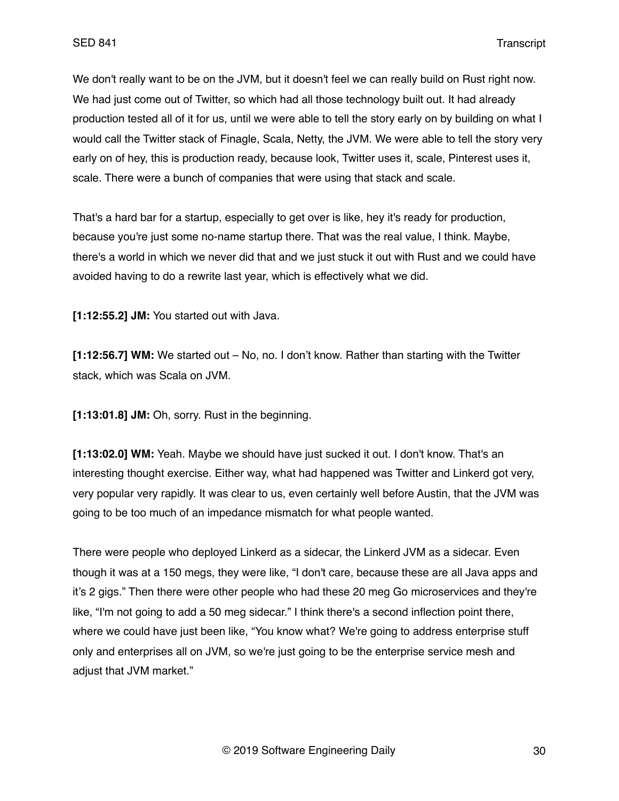We don't really want to be on the JVM, but it doesn't feel we can really build on Rust right now. We had just come out of Twitter, so which had all those technology built out. It had already production tested all of it for us, until we were able to tell the story early on by building on what I would call the Twitter stack of Finagle, Scala, Netty, the JVM. We were able to tell the story very early on of hey, this is production ready, because look, Twitter uses it, scale, Pinterest uses it, scale. There were a bunch of companies that were using that stack and scale.

That's a hard bar for a startup, especially to get over is like, hey it's ready for production, because you're just some no-name startup there. That was the real value, I think. Maybe, there's a world in which we never did that and we just stuck it out with Rust and we could have avoided having to do a rewrite last year, which is effectively what we did.

**[1:12:55.2] JM:** You started out with Java.

**[1:12:56.7] WM:** We started out – No, no. I don't know. Rather than starting with the Twitter stack, which was Scala on JVM.

**[1:13:01.8] JM:** Oh, sorry. Rust in the beginning.

**[1:13:02.0] WM:** Yeah. Maybe we should have just sucked it out. I don't know. That's an interesting thought exercise. Either way, what had happened was Twitter and Linkerd got very, very popular very rapidly. It was clear to us, even certainly well before Austin, that the JVM was going to be too much of an impedance mismatch for what people wanted.

There were people who deployed Linkerd as a sidecar, the Linkerd JVM as a sidecar. Even though it was at a 150 megs, they were like, "I don't care, because these are all Java apps and it's 2 gigs." Then there were other people who had these 20 meg Go microservices and they're like, "I'm not going to add a 50 meg sidecar." I think there's a second inflection point there, where we could have just been like, "You know what? We're going to address enterprise stuff only and enterprises all on JVM, so we're just going to be the enterprise service mesh and adjust that JVM market."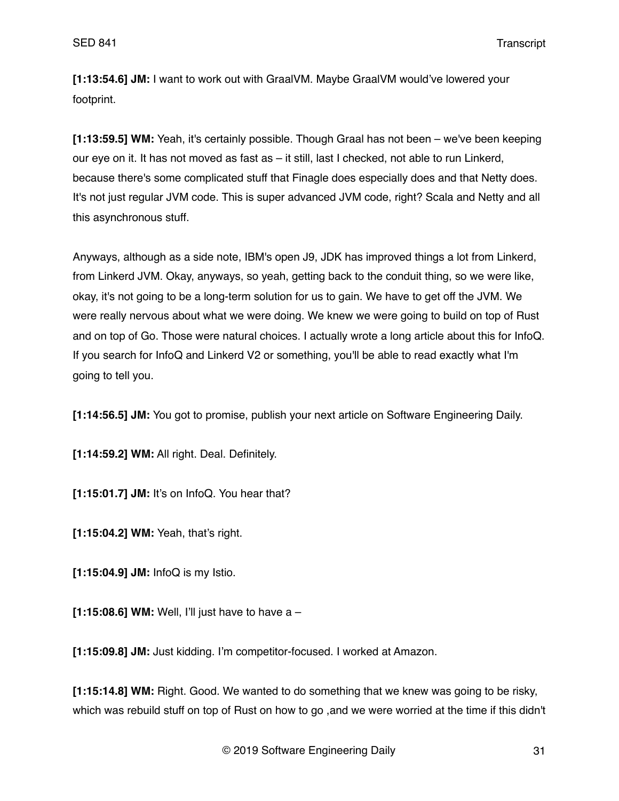**[1:13:54.6] JM:** I want to work out with GraalVM. Maybe GraalVM would've lowered your footprint.

**[1:13:59.5] WM:** Yeah, it's certainly possible. Though Graal has not been – we've been keeping our eye on it. It has not moved as fast as – it still, last I checked, not able to run Linkerd, because there's some complicated stuff that Finagle does especially does and that Netty does. It's not just regular JVM code. This is super advanced JVM code, right? Scala and Netty and all this asynchronous stuff.

Anyways, although as a side note, IBM's open J9, JDK has improved things a lot from Linkerd, from Linkerd JVM. Okay, anyways, so yeah, getting back to the conduit thing, so we were like, okay, it's not going to be a long-term solution for us to gain. We have to get off the JVM. We were really nervous about what we were doing. We knew we were going to build on top of Rust and on top of Go. Those were natural choices. I actually wrote a long article about this for InfoQ. If you search for InfoQ and Linkerd V2 or something, you'll be able to read exactly what I'm going to tell you.

**[1:14:56.5] JM:** You got to promise, publish your next article on Software Engineering Daily.

**[1:14:59.2] WM:** All right. Deal. Definitely.

**[1:15:01.7] JM:** It's on InfoQ. You hear that?

**[1:15:04.2] WM:** Yeah, that's right.

**[1:15:04.9] JM:** InfoQ is my Istio.

**[1:15:08.6] WM:** Well, I'll just have to have a –

**[1:15:09.8] JM:** Just kidding. I'm competitor-focused. I worked at Amazon.

**[1:15:14.8] WM:** Right. Good. We wanted to do something that we knew was going to be risky, which was rebuild stuff on top of Rust on how to go ,and we were worried at the time if this didn't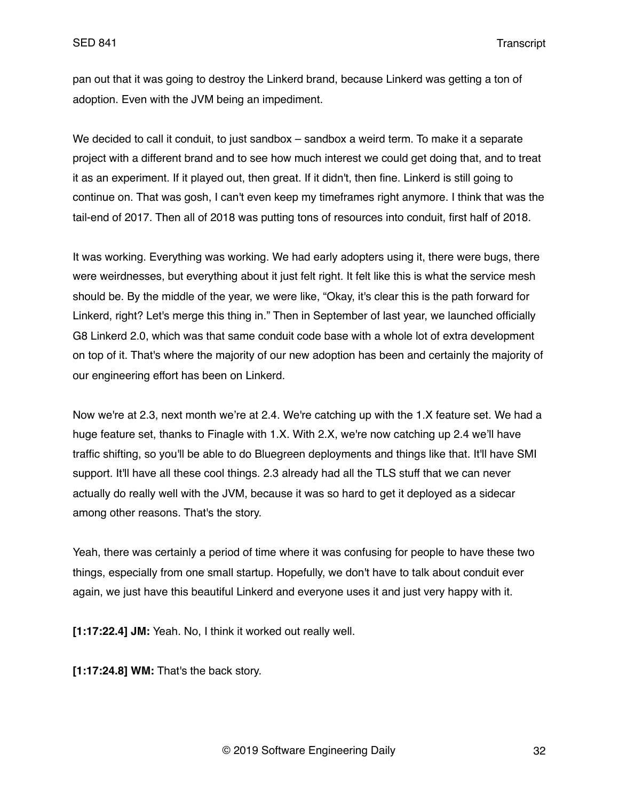pan out that it was going to destroy the Linkerd brand, because Linkerd was getting a ton of adoption. Even with the JVM being an impediment.

We decided to call it conduit, to just sandbox – sandbox a weird term. To make it a separate project with a different brand and to see how much interest we could get doing that, and to treat it as an experiment. If it played out, then great. If it didn't, then fine. Linkerd is still going to continue on. That was gosh, I can't even keep my timeframes right anymore. I think that was the tail-end of 2017. Then all of 2018 was putting tons of resources into conduit, first half of 2018.

It was working. Everything was working. We had early adopters using it, there were bugs, there were weirdnesses, but everything about it just felt right. It felt like this is what the service mesh should be. By the middle of the year, we were like, "Okay, it's clear this is the path forward for Linkerd, right? Let's merge this thing in." Then in September of last year, we launched officially G8 Linkerd 2.0, which was that same conduit code base with a whole lot of extra development on top of it. That's where the majority of our new adoption has been and certainly the majority of our engineering effort has been on Linkerd.

Now we're at 2.3, next month we're at 2.4. We're catching up with the 1.X feature set. We had a huge feature set, thanks to Finagle with 1.X. With 2.X, we're now catching up 2.4 we'll have traffic shifting, so you'll be able to do Bluegreen deployments and things like that. It'll have SMI support. It'll have all these cool things. 2.3 already had all the TLS stuff that we can never actually do really well with the JVM, because it was so hard to get it deployed as a sidecar among other reasons. That's the story.

Yeah, there was certainly a period of time where it was confusing for people to have these two things, especially from one small startup. Hopefully, we don't have to talk about conduit ever again, we just have this beautiful Linkerd and everyone uses it and just very happy with it.

**[1:17:22.4] JM:** Yeah. No, I think it worked out really well.

**[1:17:24.8] WM:** That's the back story.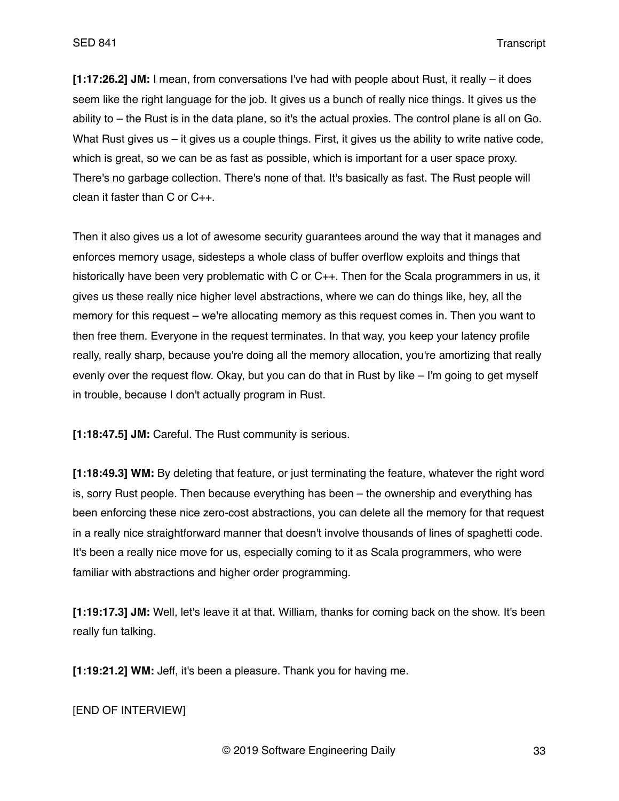**[1:17:26.2] JM:** I mean, from conversations I've had with people about Rust, it really – it does seem like the right language for the job. It gives us a bunch of really nice things. It gives us the ability to – the Rust is in the data plane, so it's the actual proxies. The control plane is all on Go. What Rust gives us – it gives us a couple things. First, it gives us the ability to write native code, which is great, so we can be as fast as possible, which is important for a user space proxy. There's no garbage collection. There's none of that. It's basically as fast. The Rust people will clean it faster than C or C++.

Then it also gives us a lot of awesome security guarantees around the way that it manages and enforces memory usage, sidesteps a whole class of buffer overflow exploits and things that historically have been very problematic with C or C++. Then for the Scala programmers in us, it gives us these really nice higher level abstractions, where we can do things like, hey, all the memory for this request – we're allocating memory as this request comes in. Then you want to then free them. Everyone in the request terminates. In that way, you keep your latency profile really, really sharp, because you're doing all the memory allocation, you're amortizing that really evenly over the request flow. Okay, but you can do that in Rust by like – I'm going to get myself in trouble, because I don't actually program in Rust.

**[1:18:47.5] JM:** Careful. The Rust community is serious.

**[1:18:49.3] WM:** By deleting that feature, or just terminating the feature, whatever the right word is, sorry Rust people. Then because everything has been – the ownership and everything has been enforcing these nice zero-cost abstractions, you can delete all the memory for that request in a really nice straightforward manner that doesn't involve thousands of lines of spaghetti code. It's been a really nice move for us, especially coming to it as Scala programmers, who were familiar with abstractions and higher order programming.

**[1:19:17.3] JM:** Well, let's leave it at that. William, thanks for coming back on the show. It's been really fun talking.

**[1:19:21.2] WM:** Jeff, it's been a pleasure. Thank you for having me.

[END OF INTERVIEW]